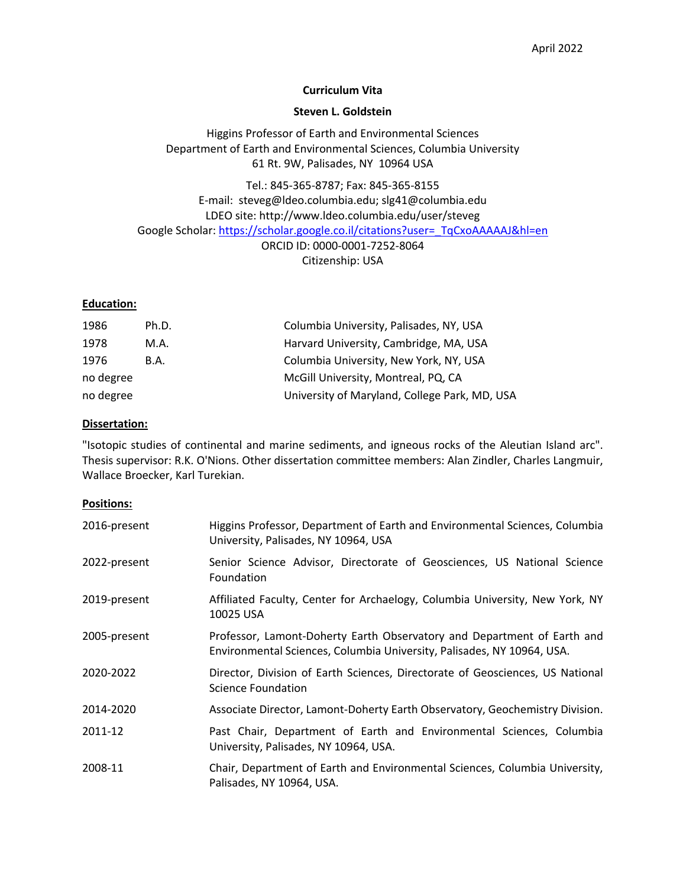## **Curriculum Vita**

#### **Steven L. Goldstein**

Higgins Professor of Earth and Environmental Sciences Department of Earth and Environmental Sciences, Columbia University 61 Rt. 9W, Palisades, NY 10964 USA

Tel.: 845-365-8787; Fax: 845-365-8155 E-mail: steveg@ldeo.columbia.edu; slg41@columbia.edu LDEO site: http://www.ldeo.columbia.edu/user/steveg Google Scholar: https://scholar.google.co.il/citations?user=\_TqCxoAAAAAJ&hl=en ORCID ID: 0000-0001-7252-8064 Citizenship: USA

## **Education:**

| 1986      | Ph.D. | Columbia University, Palisades, NY, USA       |  |
|-----------|-------|-----------------------------------------------|--|
| 1978      | M.A.  | Harvard University, Cambridge, MA, USA        |  |
| 1976      | B.A.  | Columbia University, New York, NY, USA        |  |
| no degree |       | McGill University, Montreal, PQ, CA           |  |
| no degree |       | University of Maryland, College Park, MD, USA |  |

#### **Dissertation:**

"Isotopic studies of continental and marine sediments, and igneous rocks of the Aleutian Island arc". Thesis supervisor: R.K. O'Nions. Other dissertation committee members: Alan Zindler, Charles Langmuir, Wallace Broecker, Karl Turekian.

#### **Positions:**

| 2016-present | Higgins Professor, Department of Earth and Environmental Sciences, Columbia<br>University, Palisades, NY 10964, USA                               |
|--------------|---------------------------------------------------------------------------------------------------------------------------------------------------|
| 2022-present | Senior Science Advisor, Directorate of Geosciences, US National Science<br>Foundation                                                             |
| 2019-present | Affiliated Faculty, Center for Archaelogy, Columbia University, New York, NY<br>10025 USA                                                         |
| 2005-present | Professor, Lamont-Doherty Earth Observatory and Department of Earth and<br>Environmental Sciences, Columbia University, Palisades, NY 10964, USA. |
| 2020-2022    | Director, Division of Earth Sciences, Directorate of Geosciences, US National<br>Science Foundation                                               |
| 2014-2020    | Associate Director, Lamont-Doherty Earth Observatory, Geochemistry Division.                                                                      |
| 2011-12      | Past Chair, Department of Earth and Environmental Sciences, Columbia<br>University, Palisades, NY 10964, USA.                                     |
| 2008-11      | Chair, Department of Earth and Environmental Sciences, Columbia University,<br>Palisades, NY 10964, USA.                                          |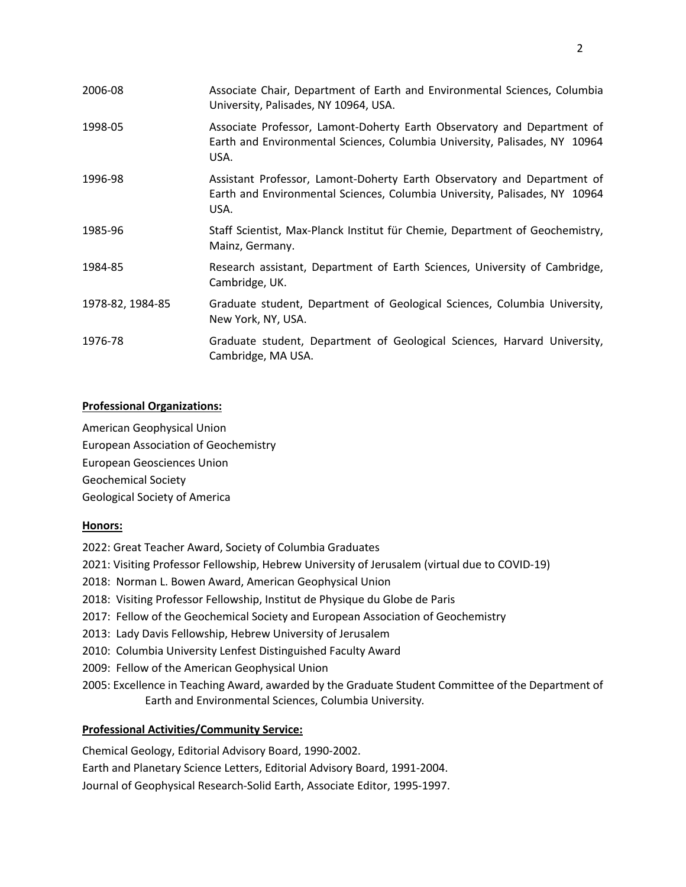| 2006-08          | Associate Chair, Department of Earth and Environmental Sciences, Columbia<br>University, Palisades, NY 10964, USA.                                            |
|------------------|---------------------------------------------------------------------------------------------------------------------------------------------------------------|
| 1998-05          | Associate Professor, Lamont-Doherty Earth Observatory and Department of<br>Earth and Environmental Sciences, Columbia University, Palisades, NY 10964<br>USA. |
| 1996-98          | Assistant Professor, Lamont-Doherty Earth Observatory and Department of<br>Earth and Environmental Sciences, Columbia University, Palisades, NY 10964<br>USA. |
| 1985-96          | Staff Scientist, Max-Planck Institut für Chemie, Department of Geochemistry,<br>Mainz, Germany.                                                               |
| 1984-85          | Research assistant, Department of Earth Sciences, University of Cambridge,<br>Cambridge, UK.                                                                  |
| 1978-82, 1984-85 | Graduate student, Department of Geological Sciences, Columbia University,<br>New York, NY, USA.                                                               |
| 1976-78          | Graduate student, Department of Geological Sciences, Harvard University,<br>Cambridge, MA USA.                                                                |

# **Professional Organizations:**

American Geophysical Union European Association of Geochemistry European Geosciences Union Geochemical Society Geological Society of America

## **Honors:**

- 2022: Great Teacher Award, Society of Columbia Graduates
- 2021: Visiting Professor Fellowship, Hebrew University of Jerusalem (virtual due to COVID-19)
- 2018: Norman L. Bowen Award, American Geophysical Union
- 2018: Visiting Professor Fellowship, Institut de Physique du Globe de Paris
- 2017: Fellow of the Geochemical Society and European Association of Geochemistry
- 2013: Lady Davis Fellowship, Hebrew University of Jerusalem
- 2010: Columbia University Lenfest Distinguished Faculty Award
- 2009: Fellow of the American Geophysical Union
- 2005: Excellence in Teaching Award, awarded by the Graduate Student Committee of the Department of Earth and Environmental Sciences, Columbia University*.*

# **Professional Activities/Community Service:**

Chemical Geology, Editorial Advisory Board, 1990-2002. Earth and Planetary Science Letters, Editorial Advisory Board, 1991-2004. Journal of Geophysical Research-Solid Earth, Associate Editor, 1995-1997.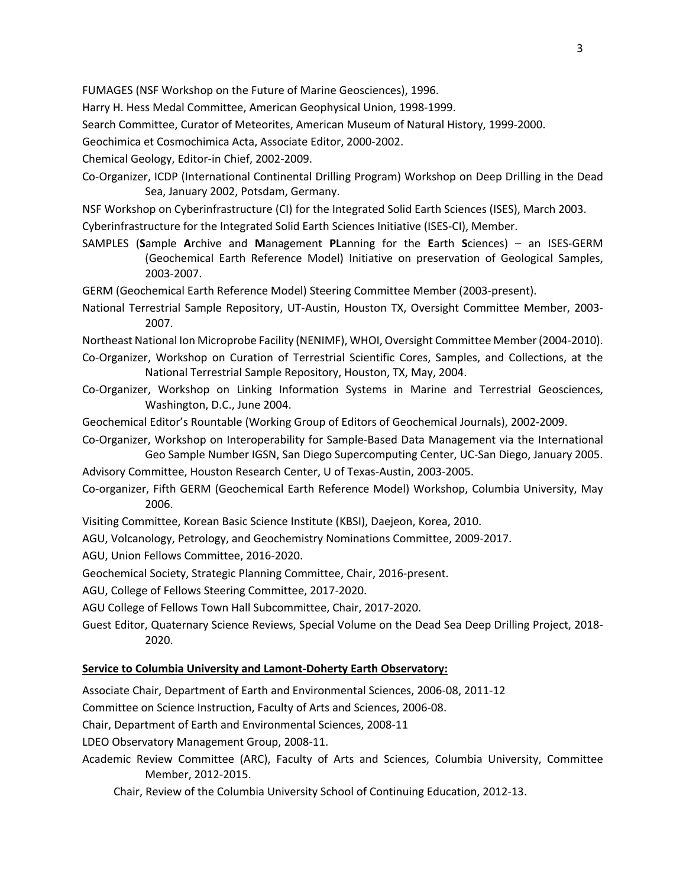FUMAGES (NSF Workshop on the Future of Marine Geosciences), 1996.

Harry H. Hess Medal Committee, American Geophysical Union, 1998-1999.

Search Committee, Curator of Meteorites, American Museum of Natural History, 1999-2000.

Geochimica et Cosmochimica Acta, Associate Editor, 2000-2002.

Chemical Geology, Editor-in Chief, 2002-2009.

Co-Organizer, ICDP (International Continental Drilling Program) Workshop on Deep Drilling in the Dead Sea, January 2002, Potsdam, Germany.

NSF Workshop on Cyberinfrastructure (CI) for the Integrated Solid Earth Sciences (ISES), March 2003.

Cyberinfrastructure for the Integrated Solid Earth Sciences Initiative (ISES-CI), Member.

SAMPLES (**S**ample **A**rchive and **M**anagement **PL**anning for the **E**arth **S**ciences) – an ISES-GERM (Geochemical Earth Reference Model) Initiative on preservation of Geological Samples, 2003-2007.

GERM (Geochemical Earth Reference Model) Steering Committee Member (2003-present).

National Terrestrial Sample Repository, UT-Austin, Houston TX, Oversight Committee Member, 2003- 2007.

Northeast National Ion Microprobe Facility (NENIMF), WHOI, Oversight Committee Member (2004-2010).

- Co-Organizer, Workshop on Curation of Terrestrial Scientific Cores, Samples, and Collections, at the National Terrestrial Sample Repository, Houston, TX, May, 2004.
- Co-Organizer, Workshop on Linking Information Systems in Marine and Terrestrial Geosciences, Washington, D.C., June 2004.
- Geochemical Editor's Rountable (Working Group of Editors of Geochemical Journals), 2002-2009.
- Co-Organizer, Workshop on Interoperability for Sample-Based Data Management via the International Geo Sample Number IGSN, San Diego Supercomputing Center, UC-San Diego, January 2005.
- Advisory Committee, Houston Research Center, U of Texas-Austin, 2003-2005.
- Co-organizer, Fifth GERM (Geochemical Earth Reference Model) Workshop, Columbia University, May 2006.
- Visiting Committee, Korean Basic Science Institute (KBSI), Daejeon, Korea, 2010.
- AGU, Volcanology, Petrology, and Geochemistry Nominations Committee, 2009-2017.
- AGU, Union Fellows Committee, 2016-2020.

Geochemical Society, Strategic Planning Committee, Chair, 2016-present.

AGU, College of Fellows Steering Committee, 2017-2020.

AGU College of Fellows Town Hall Subcommittee, Chair, 2017-2020.

Guest Editor, Quaternary Science Reviews, Special Volume on the Dead Sea Deep Drilling Project, 2018- 2020.

#### **Service to Columbia University and Lamont-Doherty Earth Observatory:**

Associate Chair, Department of Earth and Environmental Sciences, 2006-08, 2011-12

Committee on Science Instruction, Faculty of Arts and Sciences, 2006-08.

Chair, Department of Earth and Environmental Sciences, 2008-11

LDEO Observatory Management Group, 2008-11.

Academic Review Committee (ARC), Faculty of Arts and Sciences, Columbia University, Committee Member, 2012-2015.

Chair, Review of the Columbia University School of Continuing Education, 2012-13.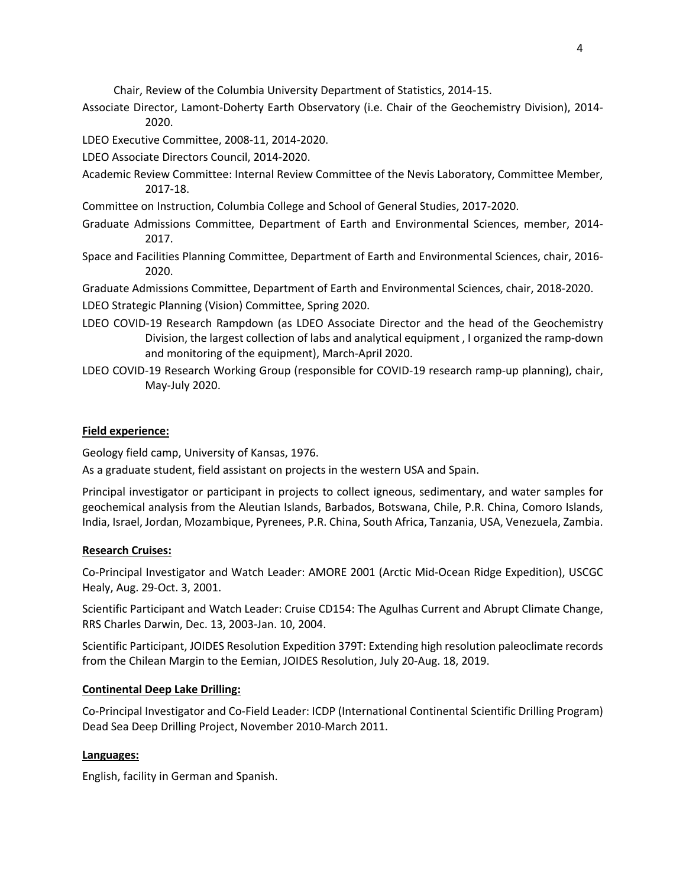Chair, Review of the Columbia University Department of Statistics, 2014-15.

Associate Director, Lamont-Doherty Earth Observatory (i.e. Chair of the Geochemistry Division), 2014- 2020.

LDEO Executive Committee, 2008-11, 2014-2020.

- LDEO Associate Directors Council, 2014-2020.
- Academic Review Committee: Internal Review Committee of the Nevis Laboratory, Committee Member, 2017-18.
- Committee on Instruction, Columbia College and School of General Studies, 2017-2020.
- Graduate Admissions Committee, Department of Earth and Environmental Sciences, member, 2014- 2017.
- Space and Facilities Planning Committee, Department of Earth and Environmental Sciences, chair, 2016- 2020.

Graduate Admissions Committee, Department of Earth and Environmental Sciences, chair, 2018-2020.

- LDEO Strategic Planning (Vision) Committee, Spring 2020.
- LDEO COVID-19 Research Rampdown (as LDEO Associate Director and the head of the Geochemistry Division, the largest collection of labs and analytical equipment , I organized the ramp-down and monitoring of the equipment), March-April 2020.
- LDEO COVID-19 Research Working Group (responsible for COVID-19 research ramp-up planning), chair, May-July 2020.

## **Field experience:**

Geology field camp, University of Kansas, 1976.

As a graduate student, field assistant on projects in the western USA and Spain.

Principal investigator or participant in projects to collect igneous, sedimentary, and water samples for geochemical analysis from the Aleutian Islands, Barbados, Botswana, Chile, P.R. China, Comoro Islands, India, Israel, Jordan, Mozambique, Pyrenees, P.R. China, South Africa, Tanzania, USA, Venezuela, Zambia.

## **Research Cruises:**

Co-Principal Investigator and Watch Leader: AMORE 2001 (Arctic Mid-Ocean Ridge Expedition), USCGC Healy, Aug. 29-Oct. 3, 2001.

Scientific Participant and Watch Leader: Cruise CD154: The Agulhas Current and Abrupt Climate Change, RRS Charles Darwin, Dec. 13, 2003-Jan. 10, 2004.

Scientific Participant, JOIDES Resolution Expedition 379T: Extending high resolution paleoclimate records from the Chilean Margin to the Eemian, JOIDES Resolution, July 20-Aug. 18, 2019.

# **Continental Deep Lake Drilling:**

Co-Principal Investigator and Co-Field Leader: ICDP (International Continental Scientific Drilling Program) Dead Sea Deep Drilling Project, November 2010-March 2011.

## **Languages:**

English, facility in German and Spanish.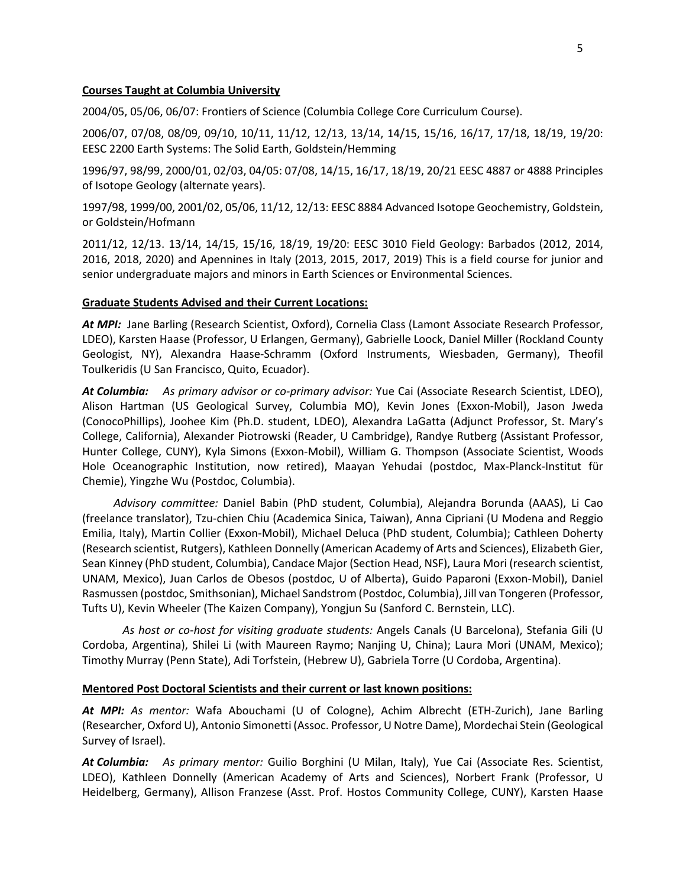#### **Courses Taught at Columbia University**

2004/05, 05/06, 06/07: Frontiers of Science (Columbia College Core Curriculum Course).

2006/07, 07/08, 08/09, 09/10, 10/11, 11/12, 12/13, 13/14, 14/15, 15/16, 16/17, 17/18, 18/19, 19/20: EESC 2200 Earth Systems: The Solid Earth, Goldstein/Hemming

1996/97, 98/99, 2000/01, 02/03, 04/05: 07/08, 14/15, 16/17, 18/19, 20/21 EESC 4887 or 4888 Principles of Isotope Geology (alternate years).

1997/98, 1999/00, 2001/02, 05/06, 11/12, 12/13: EESC 8884 Advanced Isotope Geochemistry, Goldstein, or Goldstein/Hofmann

2011/12, 12/13. 13/14, 14/15, 15/16, 18/19, 19/20: EESC 3010 Field Geology: Barbados (2012, 2014, 2016, 2018, 2020) and Apennines in Italy (2013, 2015, 2017, 2019) This is a field course for junior and senior undergraduate majors and minors in Earth Sciences or Environmental Sciences.

#### **Graduate Students Advised and their Current Locations:**

*At MPI:* Jane Barling (Research Scientist, Oxford), Cornelia Class (Lamont Associate Research Professor, LDEO), Karsten Haase (Professor, U Erlangen, Germany), Gabrielle Loock, Daniel Miller (Rockland County Geologist, NY), Alexandra Haase-Schramm (Oxford Instruments, Wiesbaden, Germany), Theofil Toulkeridis (U San Francisco, Quito, Ecuador).

*At Columbia: As primary advisor or co-primary advisor:* Yue Cai (Associate Research Scientist, LDEO), Alison Hartman (US Geological Survey, Columbia MO), Kevin Jones (Exxon-Mobil), Jason Jweda (ConocoPhillips), Joohee Kim (Ph.D. student, LDEO), Alexandra LaGatta (Adjunct Professor, St. Mary's College, California), Alexander Piotrowski (Reader, U Cambridge), Randye Rutberg (Assistant Professor, Hunter College, CUNY), Kyla Simons (Exxon-Mobil), William G. Thompson (Associate Scientist, Woods Hole Oceanographic Institution, now retired), Maayan Yehudai (postdoc, Max-Planck-Institut für Chemie), Yingzhe Wu (Postdoc, Columbia).

*Advisory committee:* Daniel Babin (PhD student, Columbia), Alejandra Borunda (AAAS), Li Cao (freelance translator), Tzu-chien Chiu (Academica Sinica, Taiwan), Anna Cipriani (U Modena and Reggio Emilia, Italy), Martin Collier (Exxon-Mobil), Michael Deluca (PhD student, Columbia); Cathleen Doherty (Research scientist, Rutgers), Kathleen Donnelly (American Academy of Arts and Sciences), Elizabeth Gier, Sean Kinney (PhD student, Columbia), Candace Major (Section Head, NSF), Laura Mori (research scientist, UNAM, Mexico), Juan Carlos de Obesos (postdoc, U of Alberta), Guido Paparoni (Exxon-Mobil), Daniel Rasmussen (postdoc, Smithsonian), Michael Sandstrom (Postdoc, Columbia), Jill van Tongeren (Professor, Tufts U), Kevin Wheeler (The Kaizen Company), Yongjun Su (Sanford C. Bernstein, LLC).

*As host or co-host for visiting graduate students:* Angels Canals (U Barcelona), Stefania Gili (U Cordoba, Argentina), Shilei Li (with Maureen Raymo; Nanjing U, China); Laura Mori (UNAM, Mexico); Timothy Murray (Penn State), Adi Torfstein, (Hebrew U), Gabriela Torre (U Cordoba, Argentina).

#### **Mentored Post Doctoral Scientists and their current or last known positions:**

*At MPI: As mentor:* Wafa Abouchami (U of Cologne), Achim Albrecht (ETH-Zurich), Jane Barling (Researcher, Oxford U), Antonio Simonetti (Assoc. Professor, U Notre Dame), Mordechai Stein (Geological Survey of Israel).

*At Columbia: As primary mentor:* Guilio Borghini (U Milan, Italy), Yue Cai (Associate Res. Scientist, LDEO), Kathleen Donnelly (American Academy of Arts and Sciences), Norbert Frank (Professor, U Heidelberg, Germany), Allison Franzese (Asst. Prof. Hostos Community College, CUNY), Karsten Haase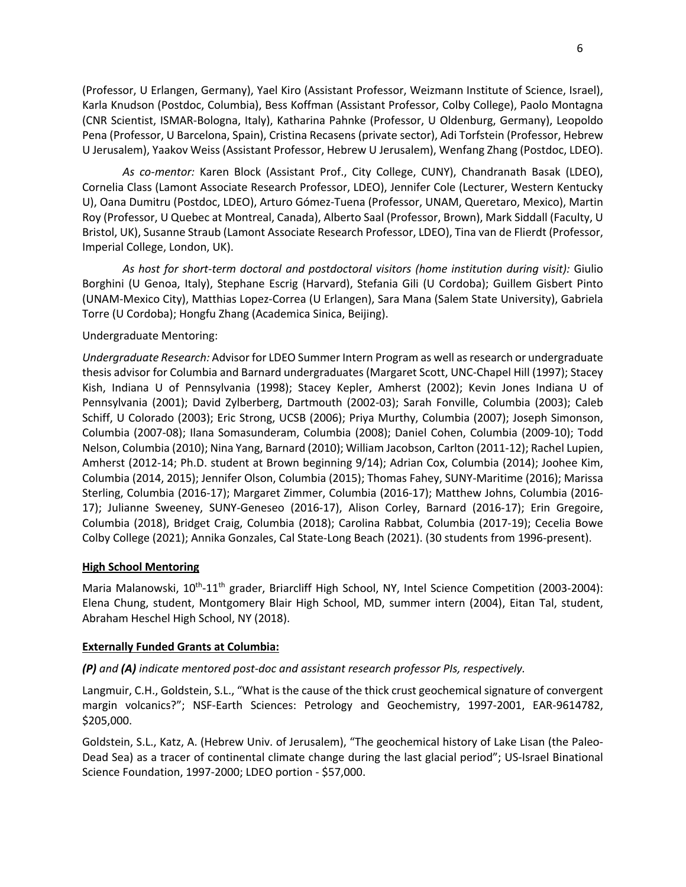(Professor, U Erlangen, Germany), Yael Kiro (Assistant Professor, Weizmann Institute of Science, Israel), Karla Knudson (Postdoc, Columbia), Bess Koffman (Assistant Professor, Colby College), Paolo Montagna (CNR Scientist, ISMAR-Bologna, Italy), Katharina Pahnke (Professor, U Oldenburg, Germany), Leopoldo Pena (Professor, U Barcelona, Spain), Cristina Recasens (private sector), Adi Torfstein (Professor, Hebrew U Jerusalem), Yaakov Weiss (Assistant Professor, Hebrew U Jerusalem), Wenfang Zhang (Postdoc, LDEO).

*As co-mentor:* Karen Block (Assistant Prof., City College, CUNY), Chandranath Basak (LDEO), Cornelia Class (Lamont Associate Research Professor, LDEO), Jennifer Cole (Lecturer, Western Kentucky U), Oana Dumitru (Postdoc, LDEO), Arturo Gómez-Tuena (Professor, UNAM, Queretaro, Mexico), Martin Roy (Professor, U Quebec at Montreal, Canada), Alberto Saal (Professor, Brown), Mark Siddall (Faculty, U Bristol, UK), Susanne Straub (Lamont Associate Research Professor, LDEO), Tina van de Flierdt (Professor, Imperial College, London, UK).

*As host for short-term doctoral and postdoctoral visitors (home institution during visit):* Giulio Borghini (U Genoa, Italy), Stephane Escrig (Harvard), Stefania Gili (U Cordoba); Guillem Gisbert Pinto (UNAM-Mexico City), Matthias Lopez-Correa (U Erlangen), Sara Mana (Salem State University), Gabriela Torre (U Cordoba); Hongfu Zhang (Academica Sinica, Beijing).

#### Undergraduate Mentoring:

*Undergraduate Research:* Advisor for LDEO Summer Intern Program as well as research or undergraduate thesis advisor for Columbia and Barnard undergraduates (Margaret Scott, UNC-Chapel Hill (1997); Stacey Kish, Indiana U of Pennsylvania (1998); Stacey Kepler, Amherst (2002); Kevin Jones Indiana U of Pennsylvania (2001); David Zylberberg, Dartmouth (2002-03); Sarah Fonville, Columbia (2003); Caleb Schiff, U Colorado (2003); Eric Strong, UCSB (2006); Priya Murthy, Columbia (2007); Joseph Simonson, Columbia (2007-08); Ilana Somasunderam, Columbia (2008); Daniel Cohen, Columbia (2009-10); Todd Nelson, Columbia (2010); Nina Yang, Barnard (2010); William Jacobson, Carlton (2011-12); Rachel Lupien, Amherst (2012-14; Ph.D. student at Brown beginning 9/14); Adrian Cox, Columbia (2014); Joohee Kim, Columbia (2014, 2015); Jennifer Olson, Columbia (2015); Thomas Fahey, SUNY-Maritime (2016); Marissa Sterling, Columbia (2016-17); Margaret Zimmer, Columbia (2016-17); Matthew Johns, Columbia (2016- 17); Julianne Sweeney, SUNY-Geneseo (2016-17), Alison Corley, Barnard (2016-17); Erin Gregoire, Columbia (2018), Bridget Craig, Columbia (2018); Carolina Rabbat, Columbia (2017-19); Cecelia Bowe Colby College (2021); Annika Gonzales, Cal State-Long Beach (2021). (30 students from 1996-present).

#### **High School Mentoring**

Maria Malanowski,  $10^{th}$ - $11^{th}$  grader, Briarcliff High School, NY, Intel Science Competition (2003-2004): Elena Chung, student, Montgomery Blair High School, MD, summer intern (2004), Eitan Tal, student, Abraham Heschel High School, NY (2018).

#### **Externally Funded Grants at Columbia:**

## *(P) and (A) indicate mentored post-doc and assistant research professor PIs, respectively.*

Langmuir, C.H., Goldstein, S.L., "What is the cause of the thick crust geochemical signature of convergent margin volcanics?"; NSF-Earth Sciences: Petrology and Geochemistry, 1997-2001, EAR-9614782, \$205,000.

Goldstein, S.L., Katz, A. (Hebrew Univ. of Jerusalem), "The geochemical history of Lake Lisan (the Paleo-Dead Sea) as a tracer of continental climate change during the last glacial period"; US-Israel Binational Science Foundation, 1997-2000; LDEO portion - \$57,000.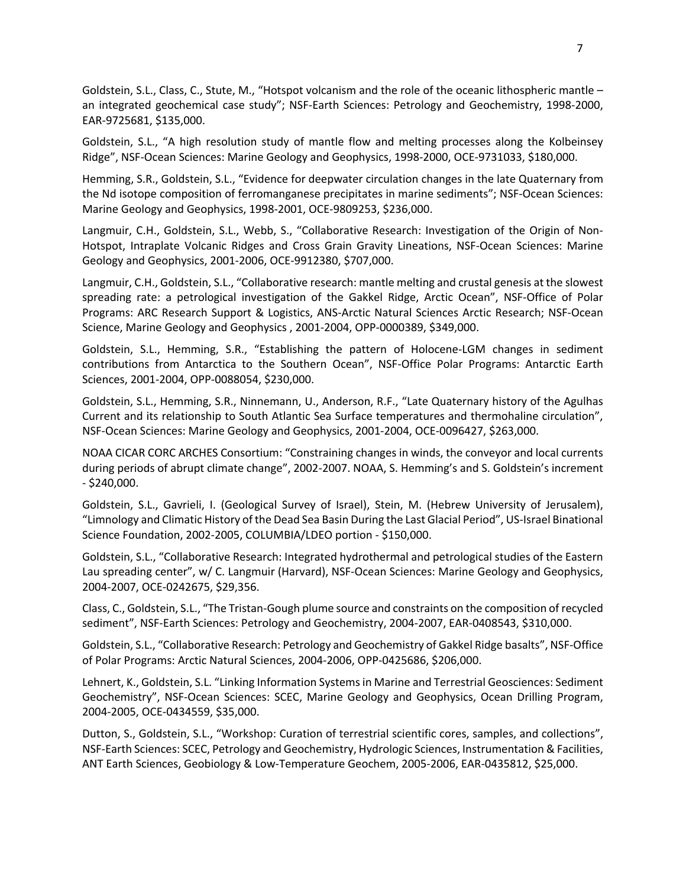Goldstein, S.L., Class, C., Stute, M., "Hotspot volcanism and the role of the oceanic lithospheric mantle – an integrated geochemical case study"; NSF-Earth Sciences: Petrology and Geochemistry, 1998-2000, EAR-9725681, \$135,000.

Goldstein, S.L., "A high resolution study of mantle flow and melting processes along the Kolbeinsey Ridge", NSF-Ocean Sciences: Marine Geology and Geophysics, 1998-2000, OCE-9731033, \$180,000.

Hemming, S.R., Goldstein, S.L., "Evidence for deepwater circulation changes in the late Quaternary from the Nd isotope composition of ferromanganese precipitates in marine sediments"; NSF-Ocean Sciences: Marine Geology and Geophysics, 1998-2001, OCE-9809253, \$236,000.

Langmuir, C.H., Goldstein, S.L., Webb, S., "Collaborative Research: Investigation of the Origin of Non-Hotspot, Intraplate Volcanic Ridges and Cross Grain Gravity Lineations, NSF-Ocean Sciences: Marine Geology and Geophysics, 2001-2006, OCE-9912380, \$707,000.

Langmuir, C.H., Goldstein, S.L., "Collaborative research: mantle melting and crustal genesis at the slowest spreading rate: a petrological investigation of the Gakkel Ridge, Arctic Ocean", NSF-Office of Polar Programs: ARC Research Support & Logistics, ANS-Arctic Natural Sciences Arctic Research; NSF-Ocean Science, Marine Geology and Geophysics , 2001-2004, OPP-0000389, \$349,000.

Goldstein, S.L., Hemming, S.R., "Establishing the pattern of Holocene-LGM changes in sediment contributions from Antarctica to the Southern Ocean", NSF-Office Polar Programs: Antarctic Earth Sciences, 2001-2004, OPP-0088054, \$230,000.

Goldstein, S.L., Hemming, S.R., Ninnemann, U., Anderson, R.F., "Late Quaternary history of the Agulhas Current and its relationship to South Atlantic Sea Surface temperatures and thermohaline circulation", NSF-Ocean Sciences: Marine Geology and Geophysics, 2001-2004, OCE-0096427, \$263,000.

NOAA CICAR CORC ARCHES Consortium: "Constraining changes in winds, the conveyor and local currents during periods of abrupt climate change", 2002-2007. NOAA, S. Hemming's and S. Goldstein's increment - \$240,000.

Goldstein, S.L., Gavrieli, I. (Geological Survey of Israel), Stein, M. (Hebrew University of Jerusalem), "Limnology and Climatic History of the Dead Sea Basin During the Last Glacial Period", US-Israel Binational Science Foundation, 2002-2005, COLUMBIA/LDEO portion - \$150,000.

Goldstein, S.L., "Collaborative Research: Integrated hydrothermal and petrological studies of the Eastern Lau spreading center", w/ C. Langmuir (Harvard), NSF-Ocean Sciences: Marine Geology and Geophysics, 2004-2007, OCE-0242675, \$29,356.

Class, C., Goldstein, S.L., "The Tristan-Gough plume source and constraints on the composition of recycled sediment", NSF-Earth Sciences: Petrology and Geochemistry, 2004-2007, EAR-0408543, \$310,000.

Goldstein, S.L., "Collaborative Research: Petrology and Geochemistry of Gakkel Ridge basalts", NSF-Office of Polar Programs: Arctic Natural Sciences, 2004-2006, OPP-0425686, \$206,000.

Lehnert, K., Goldstein, S.L. "Linking Information Systems in Marine and Terrestrial Geosciences: Sediment Geochemistry", NSF-Ocean Sciences: SCEC, Marine Geology and Geophysics, Ocean Drilling Program, 2004-2005, OCE-0434559, \$35,000.

Dutton, S., Goldstein, S.L., "Workshop: Curation of terrestrial scientific cores, samples, and collections", NSF-Earth Sciences: SCEC, Petrology and Geochemistry, Hydrologic Sciences, Instrumentation & Facilities, ANT Earth Sciences, Geobiology & Low-Temperature Geochem, 2005-2006, EAR-0435812, \$25,000.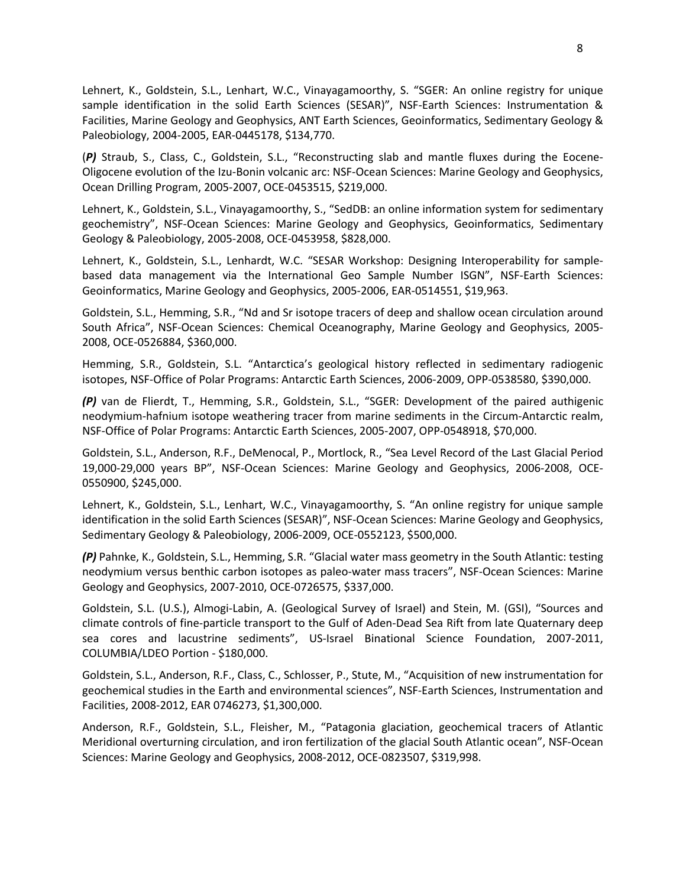Lehnert, K., Goldstein, S.L., Lenhart, W.C., Vinayagamoorthy, S. "SGER: An online registry for unique sample identification in the solid Earth Sciences (SESAR)", NSF-Earth Sciences: Instrumentation & Facilities, Marine Geology and Geophysics, ANT Earth Sciences, Geoinformatics, Sedimentary Geology & Paleobiology, 2004-2005, EAR-0445178, \$134,770.

(*P)* Straub, S., Class, C., Goldstein, S.L., "Reconstructing slab and mantle fluxes during the Eocene-Oligocene evolution of the Izu-Bonin volcanic arc: NSF-Ocean Sciences: Marine Geology and Geophysics, Ocean Drilling Program, 2005-2007, OCE-0453515, \$219,000.

Lehnert, K., Goldstein, S.L., Vinayagamoorthy, S., "SedDB: an online information system for sedimentary geochemistry", NSF-Ocean Sciences: Marine Geology and Geophysics, Geoinformatics, Sedimentary Geology & Paleobiology, 2005-2008, OCE-0453958, \$828,000.

Lehnert, K., Goldstein, S.L., Lenhardt, W.C. "SESAR Workshop: Designing Interoperability for samplebased data management via the International Geo Sample Number ISGN", NSF-Earth Sciences: Geoinformatics, Marine Geology and Geophysics, 2005-2006, EAR-0514551, \$19,963.

Goldstein, S.L., Hemming, S.R., "Nd and Sr isotope tracers of deep and shallow ocean circulation around South Africa", NSF-Ocean Sciences: Chemical Oceanography, Marine Geology and Geophysics, 2005- 2008, OCE-0526884, \$360,000.

Hemming, S.R., Goldstein, S.L. "Antarctica's geological history reflected in sedimentary radiogenic isotopes, NSF-Office of Polar Programs: Antarctic Earth Sciences, 2006-2009, OPP-0538580, \$390,000.

*(P)* van de Flierdt, T., Hemming, S.R., Goldstein, S.L., "SGER: Development of the paired authigenic neodymium-hafnium isotope weathering tracer from marine sediments in the Circum-Antarctic realm, NSF-Office of Polar Programs: Antarctic Earth Sciences, 2005-2007, OPP-0548918, \$70,000.

Goldstein, S.L., Anderson, R.F., DeMenocal, P., Mortlock, R., "Sea Level Record of the Last Glacial Period 19,000-29,000 years BP", NSF-Ocean Sciences: Marine Geology and Geophysics, 2006-2008, OCE-0550900, \$245,000.

Lehnert, K., Goldstein, S.L., Lenhart, W.C., Vinayagamoorthy, S. "An online registry for unique sample identification in the solid Earth Sciences (SESAR)", NSF-Ocean Sciences: Marine Geology and Geophysics, Sedimentary Geology & Paleobiology, 2006-2009, OCE-0552123, \$500,000.

*(P)* Pahnke, K., Goldstein, S.L., Hemming, S.R. "Glacial water mass geometry in the South Atlantic: testing neodymium versus benthic carbon isotopes as paleo-water mass tracers", NSF-Ocean Sciences: Marine Geology and Geophysics, 2007-2010, OCE-0726575, \$337,000.

Goldstein, S.L. (U.S.), Almogi-Labin, A. (Geological Survey of Israel) and Stein, M. (GSI), "Sources and climate controls of fine-particle transport to the Gulf of Aden-Dead Sea Rift from late Quaternary deep sea cores and lacustrine sediments", US-Israel Binational Science Foundation, 2007-2011, COLUMBIA/LDEO Portion - \$180,000.

Goldstein, S.L., Anderson, R.F., Class, C., Schlosser, P., Stute, M., "Acquisition of new instrumentation for geochemical studies in the Earth and environmental sciences", NSF-Earth Sciences, Instrumentation and Facilities, 2008-2012, EAR 0746273, \$1,300,000.

Anderson, R.F., Goldstein, S.L., Fleisher, M., "Patagonia glaciation, geochemical tracers of Atlantic Meridional overturning circulation, and iron fertilization of the glacial South Atlantic ocean", NSF-Ocean Sciences: Marine Geology and Geophysics, 2008-2012, OCE-0823507, \$319,998.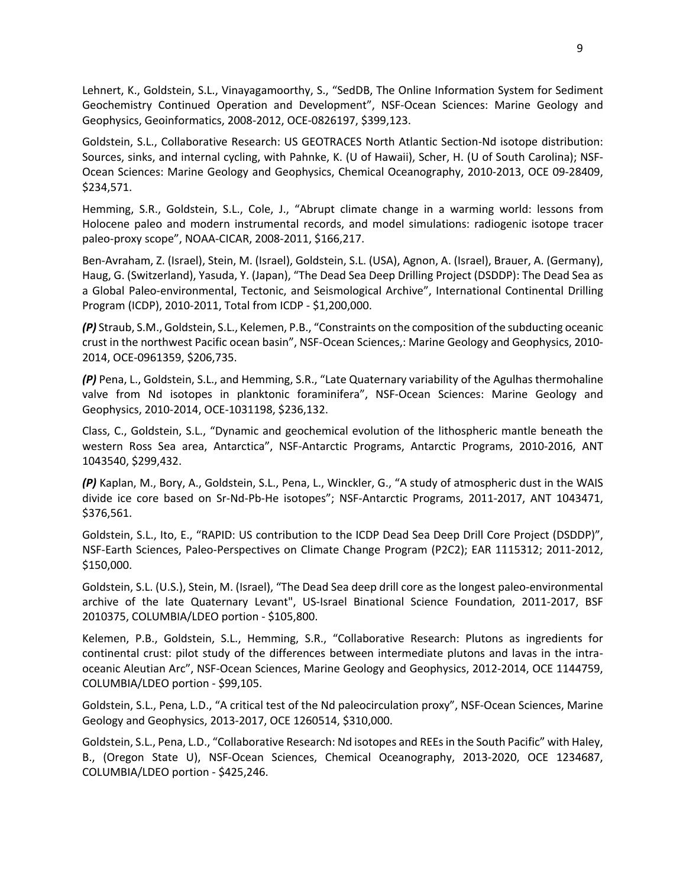Lehnert, K., Goldstein, S.L., Vinayagamoorthy, S., "SedDB, The Online Information System for Sediment Geochemistry Continued Operation and Development", NSF-Ocean Sciences: Marine Geology and Geophysics, Geoinformatics, 2008-2012, OCE-0826197, \$399,123.

Goldstein, S.L., Collaborative Research: US GEOTRACES North Atlantic Section-Nd isotope distribution: Sources, sinks, and internal cycling, with Pahnke, K. (U of Hawaii), Scher, H. (U of South Carolina); NSF-Ocean Sciences: Marine Geology and Geophysics, Chemical Oceanography, 2010-2013, OCE 09-28409, \$234,571.

Hemming, S.R., Goldstein, S.L., Cole, J., "Abrupt climate change in a warming world: lessons from Holocene paleo and modern instrumental records, and model simulations: radiogenic isotope tracer paleo-proxy scope", NOAA-CICAR, 2008-2011, \$166,217.

Ben-Avraham, Z. (Israel), Stein, M. (Israel), Goldstein, S.L. (USA), Agnon, A. (Israel), Brauer, A. (Germany), Haug, G. (Switzerland), Yasuda, Y. (Japan), "The Dead Sea Deep Drilling Project (DSDDP): The Dead Sea as a Global Paleo-environmental, Tectonic, and Seismological Archive", International Continental Drilling Program (ICDP), 2010-2011, Total from ICDP - \$1,200,000.

*(P)* Straub, S.M., Goldstein, S.L., Kelemen, P.B., "Constraints on the composition of the subducting oceanic crust in the northwest Pacific ocean basin", NSF-Ocean Sciences,: Marine Geology and Geophysics, 2010- 2014, OCE-0961359, \$206,735.

*(P)* Pena, L., Goldstein, S.L., and Hemming, S.R., "Late Quaternary variability of the Agulhas thermohaline valve from Nd isotopes in planktonic foraminifera", NSF-Ocean Sciences: Marine Geology and Geophysics, 2010-2014, OCE-1031198, \$236,132.

Class, C., Goldstein, S.L., "Dynamic and geochemical evolution of the lithospheric mantle beneath the western Ross Sea area, Antarctica", NSF-Antarctic Programs, Antarctic Programs, 2010-2016, ANT 1043540, \$299,432.

*(P)* Kaplan, M., Bory, A., Goldstein, S.L., Pena, L., Winckler, G., "A study of atmospheric dust in the WAIS divide ice core based on Sr-Nd-Pb-He isotopes"; NSF-Antarctic Programs, 2011-2017, ANT 1043471, \$376,561.

Goldstein, S.L., Ito, E., "RAPID: US contribution to the ICDP Dead Sea Deep Drill Core Project (DSDDP)", NSF-Earth Sciences, Paleo-Perspectives on Climate Change Program (P2C2); EAR 1115312; 2011-2012, \$150,000.

Goldstein, S.L. (U.S.), Stein, M. (Israel), "The Dead Sea deep drill core as the longest paleo-environmental archive of the late Quaternary Levant", US-Israel Binational Science Foundation, 2011-2017, BSF 2010375, COLUMBIA/LDEO portion - \$105,800.

Kelemen, P.B., Goldstein, S.L., Hemming, S.R., "Collaborative Research: Plutons as ingredients for continental crust: pilot study of the differences between intermediate plutons and lavas in the intraoceanic Aleutian Arc", NSF-Ocean Sciences, Marine Geology and Geophysics, 2012-2014, OCE 1144759, COLUMBIA/LDEO portion - \$99,105.

Goldstein, S.L., Pena, L.D., "A critical test of the Nd paleocirculation proxy", NSF-Ocean Sciences, Marine Geology and Geophysics, 2013-2017, OCE 1260514, \$310,000.

Goldstein, S.L., Pena, L.D., "Collaborative Research: Nd isotopes and REEs in the South Pacific" with Haley, B., (Oregon State U), NSF-Ocean Sciences, Chemical Oceanography, 2013-2020, OCE 1234687, COLUMBIA/LDEO portion - \$425,246.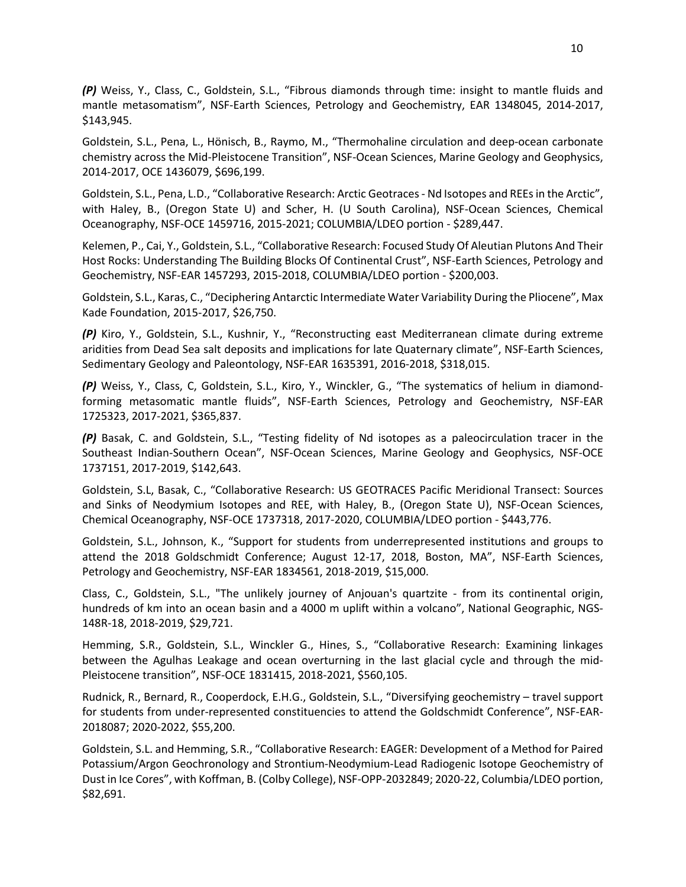*(P)* Weiss, Y., Class, C., Goldstein, S.L., "Fibrous diamonds through time: insight to mantle fluids and mantle metasomatism", NSF-Earth Sciences, Petrology and Geochemistry, EAR 1348045, 2014-2017, \$143,945.

Goldstein, S.L., Pena, L., Hönisch, B., Raymo, M., "Thermohaline circulation and deep-ocean carbonate chemistry across the Mid-Pleistocene Transition", NSF-Ocean Sciences, Marine Geology and Geophysics, 2014-2017, OCE 1436079, \$696,199.

Goldstein, S.L., Pena, L.D., "Collaborative Research: Arctic Geotraces - Nd Isotopes and REEs in the Arctic", with Haley, B., (Oregon State U) and Scher, H. (U South Carolina), NSF-Ocean Sciences, Chemical Oceanography, NSF-OCE 1459716, 2015-2021; COLUMBIA/LDEO portion - \$289,447.

Kelemen, P., Cai, Y., Goldstein, S.L., "Collaborative Research: Focused Study Of Aleutian Plutons And Their Host Rocks: Understanding The Building Blocks Of Continental Crust", NSF-Earth Sciences, Petrology and Geochemistry, NSF-EAR 1457293, 2015-2018, COLUMBIA/LDEO portion - \$200,003.

Goldstein, S.L., Karas, C., "Deciphering Antarctic Intermediate Water Variability During the Pliocene", Max Kade Foundation, 2015-2017, \$26,750.

*(P)* Kiro, Y., Goldstein, S.L., Kushnir, Y., "Reconstructing east Mediterranean climate during extreme aridities from Dead Sea salt deposits and implications for late Quaternary climate", NSF-Earth Sciences, Sedimentary Geology and Paleontology, NSF-EAR 1635391, 2016-2018, \$318,015.

*(P)* Weiss, Y., Class, C, Goldstein, S.L., Kiro, Y., Winckler, G., "The systematics of helium in diamondforming metasomatic mantle fluids", NSF-Earth Sciences, Petrology and Geochemistry, NSF-EAR 1725323, 2017-2021, \$365,837.

*(P)* Basak, C. and Goldstein, S.L., "Testing fidelity of Nd isotopes as a paleocirculation tracer in the Southeast Indian-Southern Ocean", NSF-Ocean Sciences, Marine Geology and Geophysics, NSF-OCE 1737151, 2017-2019, \$142,643.

Goldstein, S.L, Basak, C., "Collaborative Research: US GEOTRACES Pacific Meridional Transect: Sources and Sinks of Neodymium Isotopes and REE, with Haley, B., (Oregon State U), NSF-Ocean Sciences, Chemical Oceanography, NSF-OCE 1737318, 2017-2020, COLUMBIA/LDEO portion - \$443,776.

Goldstein, S.L., Johnson, K., "Support for students from underrepresented institutions and groups to attend the 2018 Goldschmidt Conference; August 12-17, 2018, Boston, MA", NSF-Earth Sciences, Petrology and Geochemistry, NSF-EAR 1834561, 2018-2019, \$15,000.

Class, C., Goldstein, S.L., "The unlikely journey of Anjouan's quartzite - from its continental origin, hundreds of km into an ocean basin and a 4000 m uplift within a volcano", National Geographic, NGS-148R-18, 2018-2019, \$29,721.

Hemming, S.R., Goldstein, S.L., Winckler G., Hines, S., "Collaborative Research: Examining linkages between the Agulhas Leakage and ocean overturning in the last glacial cycle and through the mid-Pleistocene transition", NSF-OCE 1831415, 2018-2021, \$560,105.

Rudnick, R., Bernard, R., Cooperdock, E.H.G., Goldstein, S.L., "Diversifying geochemistry – travel support for students from under-represented constituencies to attend the Goldschmidt Conference", NSF-EAR-2018087; 2020-2022, \$55,200.

Goldstein, S.L. and Hemming, S.R., "Collaborative Research: EAGER: Development of a Method for Paired Potassium/Argon Geochronology and Strontium-Neodymium-Lead Radiogenic Isotope Geochemistry of Dust in Ice Cores", with Koffman, B. (Colby College), NSF-OPP-2032849; 2020-22, Columbia/LDEO portion, \$82,691.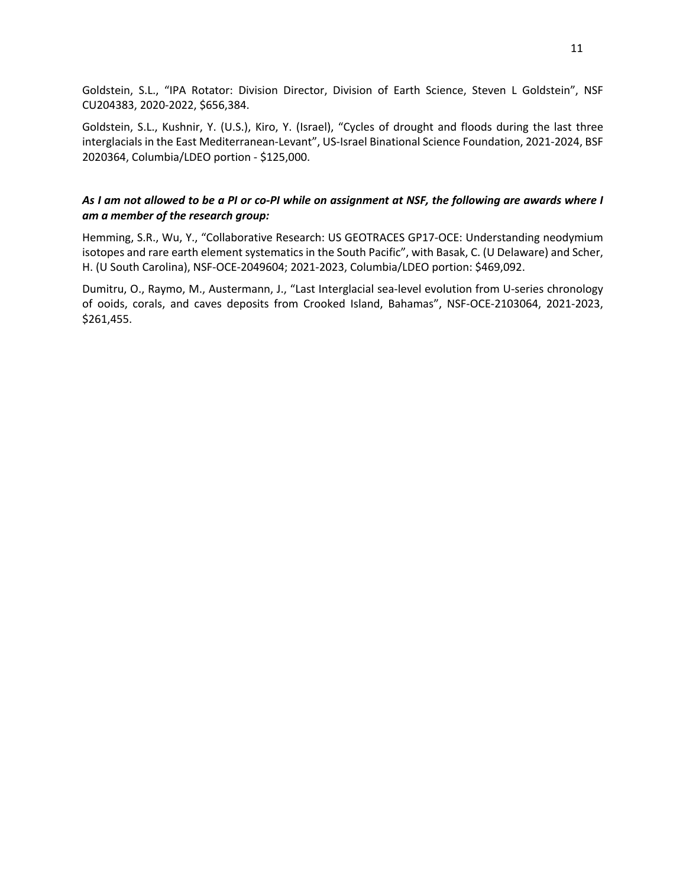Goldstein, S.L., "IPA Rotator: Division Director, Division of Earth Science, Steven L Goldstein", NSF CU204383, 2020-2022, \$656,384.

Goldstein, S.L., Kushnir, Y. (U.S.), Kiro, Y. (Israel), "Cycles of drought and floods during the last three interglacials in the East Mediterranean-Levant", US-Israel Binational Science Foundation, 2021-2024, BSF 2020364, Columbia/LDEO portion - \$125,000.

## *As I am not allowed to be a PI or co-PI while on assignment at NSF, the following are awards where I am a member of the research group:*

Hemming, S.R., Wu, Y., "Collaborative Research: US GEOTRACES GP17-OCE: Understanding neodymium isotopes and rare earth element systematics in the South Pacific", with Basak, C. (U Delaware) and Scher, H. (U South Carolina), NSF-OCE-2049604; 2021-2023, Columbia/LDEO portion: \$469,092.

Dumitru, O., Raymo, M., Austermann, J., "Last Interglacial sea-level evolution from U-series chronology of ooids, corals, and caves deposits from Crooked Island, Bahamas", NSF-OCE-2103064, 2021-2023, \$261,455.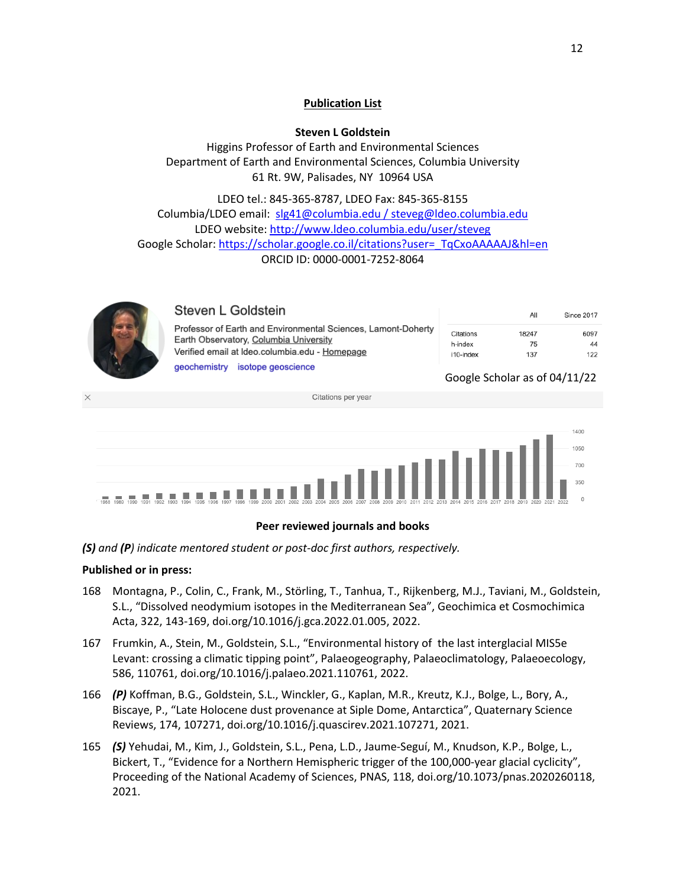# **Publication List**

**Steven L Goldstein**

Higgins Professor of Earth and Environmental Sciences Department of Earth and Environmental Sciences, Columbia University 61 Rt. 9W, Palisades, NY 10964 USA

LDEO tel.: 845-365-8787, LDEO Fax: 845-365-8155 Columbia/LDEO email: slg41@columbia.edu / steveg@ldeo.columbia.edu LDEO website: http://www.ldeo.columbia.edu/user/steveg Google Scholar: https://scholar.google.co.il/citations?user=\_TqCxoAAAAAJ&hl=en ORCID ID: 0000-0001-7252-8064

| Steven L Goldstein                                                                                                                                        |  |
|-----------------------------------------------------------------------------------------------------------------------------------------------------------|--|
| Professor of Earth and Environmental Sciences, Lamont-Doherty<br>Earth Observatory, Columbia University<br>Verified email at Ideo.columbia.edu - Homepage |  |
| geochemistry isotope geoscience                                                                                                                           |  |

|           | All   | <b>Since 2017</b> |
|-----------|-------|-------------------|
| Citations | 18247 | 6097              |
| h-index   | 75    | 44                |
| i10-index | 137   | 122               |

## Google Scholar as of 04/11/22



# **Peer reviewed journals and books**

*(S) and (P) indicate mentored student or post-doc first authors, respectively.*

## **Published or in press:**

- 168 Montagna, P., Colin, C., Frank, M., Störling, T., Tanhua, T., Rijkenberg, M.J., Taviani, M., Goldstein, S.L., "Dissolved neodymium isotopes in the Mediterranean Sea", Geochimica et Cosmochimica Acta, 322, 143-169, doi.org/10.1016/j.gca.2022.01.005, 2022.
- 167 Frumkin, A., Stein, M., Goldstein, S.L., "Environmental history of the last interglacial MIS5e Levant: crossing a climatic tipping point", Palaeogeography, Palaeoclimatology, Palaeoecology, 586, 110761, doi.org/10.1016/j.palaeo.2021.110761, 2022.
- 166 *(P)* Koffman, B.G., Goldstein, S.L., Winckler, G., Kaplan, M.R., Kreutz, K.J., Bolge, L., Bory, A., Biscaye, P., "Late Holocene dust provenance at Siple Dome, Antarctica", Quaternary Science Reviews, 174, 107271, doi.org/10.1016/j.quascirev.2021.107271, 2021.
- 165 *(S)* Yehudai, M., Kim, J., Goldstein, S.L., Pena, L.D., Jaume-Seguí, M., Knudson, K.P., Bolge, L., Bickert, T., "Evidence for a Northern Hemispheric trigger of the 100,000-year glacial cyclicity", Proceeding of the National Academy of Sciences, PNAS, 118, doi.org/10.1073/pnas.2020260118, 2021.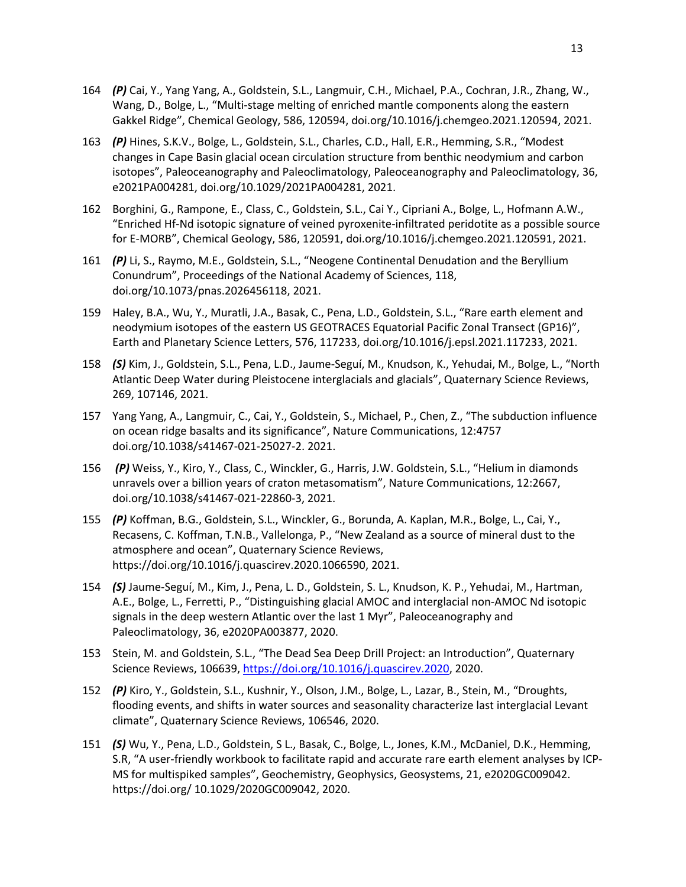- 164 *(P)* Cai, Y., Yang Yang, A., Goldstein, S.L., Langmuir, C.H., Michael, P.A., Cochran, J.R., Zhang, W., Wang, D., Bolge, L., "Multi-stage melting of enriched mantle components along the eastern Gakkel Ridge", Chemical Geology, 586, 120594, doi.org/10.1016/j.chemgeo.2021.120594, 2021.
- 163 *(P)* Hines, S.K.V., Bolge, L., Goldstein, S.L., Charles, C.D., Hall, E.R., Hemming, S.R., "Modest changes in Cape Basin glacial ocean circulation structure from benthic neodymium and carbon isotopes", Paleoceanography and Paleoclimatology, Paleoceanography and Paleoclimatology, 36, e2021PA004281, doi.org/10.1029/2021PA004281, 2021.
- 162 Borghini, G., Rampone, E., Class, C., Goldstein, S.L., Cai Y., Cipriani A., Bolge, L., Hofmann A.W., "Enriched Hf-Nd isotopic signature of veined pyroxenite-infiltrated peridotite as a possible source for E-MORB", Chemical Geology, 586, 120591, doi.org/10.1016/j.chemgeo.2021.120591, 2021.
- 161 *(P)* Li, S., Raymo, M.E., Goldstein, S.L., "Neogene Continental Denudation and the Beryllium Conundrum", Proceedings of the National Academy of Sciences, 118, doi.org/10.1073/pnas.2026456118, 2021.
- 159 Haley, B.A., Wu, Y., Muratli, J.A., Basak, C., Pena, L.D., Goldstein, S.L., "Rare earth element and neodymium isotopes of the eastern US GEOTRACES Equatorial Pacific Zonal Transect (GP16)", Earth and Planetary Science Letters, 576, 117233, doi.org/10.1016/j.epsl.2021.117233, 2021.
- 158 *(S)* Kim, J., Goldstein, S.L., Pena, L.D., Jaume-Seguí, M., Knudson, K., Yehudai, M., Bolge, L., "North Atlantic Deep Water during Pleistocene interglacials and glacials", Quaternary Science Reviews, 269, 107146, 2021.
- 157 Yang Yang, A., Langmuir, C., Cai, Y., Goldstein, S., Michael, P., Chen, Z., "The subduction influence on ocean ridge basalts and its significance", Nature Communications, 12:4757 doi.org/10.1038/s41467-021-25027-2. 2021.
- 156 *(P)* Weiss, Y., Kiro, Y., Class, C., Winckler, G., Harris, J.W. Goldstein, S.L., "Helium in diamonds unravels over a billion years of craton metasomatism", Nature Communications, 12:2667, doi.org/10.1038/s41467-021-22860-3, 2021.
- 155 *(P)* Koffman, B.G., Goldstein, S.L., Winckler, G., Borunda, A. Kaplan, M.R., Bolge, L., Cai, Y., Recasens, C. Koffman, T.N.B., Vallelonga, P., "New Zealand as a source of mineral dust to the atmosphere and ocean", Quaternary Science Reviews, https://doi.org/10.1016/j.quascirev.2020.1066590, 2021.
- 154 *(S)* Jaume-Seguí, M., Kim, J., Pena, L. D., Goldstein, S. L., Knudson, K. P., Yehudai, M., Hartman, A.E., Bolge, L., Ferretti, P., "Distinguishing glacial AMOC and interglacial non-AMOC Nd isotopic signals in the deep western Atlantic over the last 1 Myr", Paleoceanography and Paleoclimatology, 36, e2020PA003877, 2020.
- 153 Stein, M. and Goldstein, S.L., "The Dead Sea Deep Drill Project: an Introduction", Quaternary Science Reviews, 106639, https://doi.org/10.1016/j.quascirev.2020, 2020.
- 152 *(P)* Kiro, Y., Goldstein, S.L., Kushnir, Y., Olson, J.M., Bolge, L., Lazar, B., Stein, M., "Droughts, flooding events, and shifts in water sources and seasonality characterize last interglacial Levant climate", Quaternary Science Reviews, 106546, 2020.
- 151 *(S)* Wu, Y., Pena, L.D., Goldstein, S L., Basak, C., Bolge, L., Jones, K.M., McDaniel, D.K., Hemming, S.R, "A user-friendly workbook to facilitate rapid and accurate rare earth element analyses by ICP-MS for multispiked samples", Geochemistry, Geophysics, Geosystems, 21, e2020GC009042. https://doi.org/ 10.1029/2020GC009042, 2020.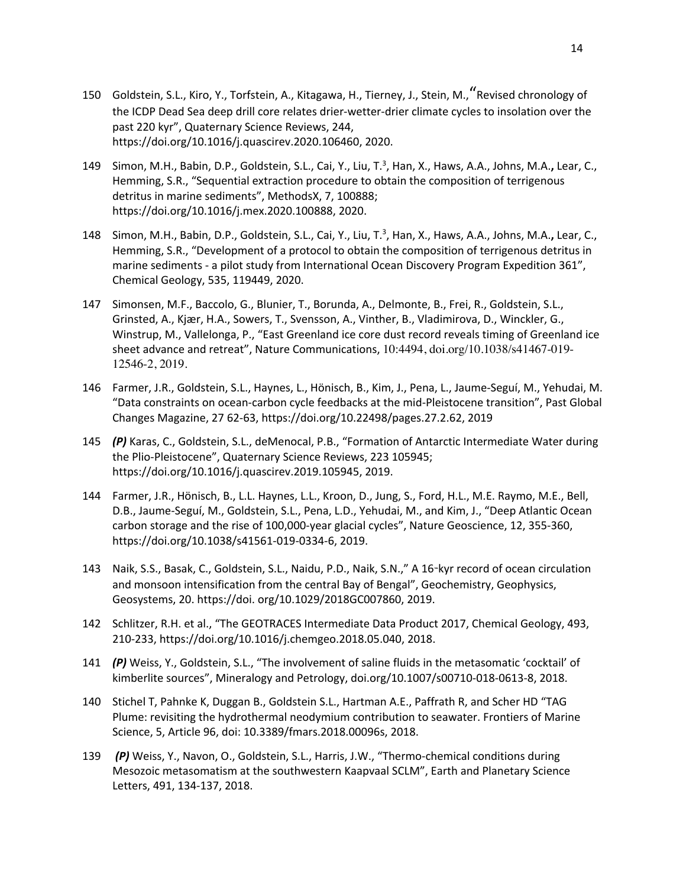- <sup>150</sup> Goldstein, S.L., Kiro, Y., Torfstein, A., Kitagawa, H., Tierney, J., Stein, M.,"Revised chronology of the ICDP Dead Sea deep drill core relates drier-wetter-drier climate cycles to insolation over the past 220 kyr", Quaternary Science Reviews, 244, https://doi.org/10.1016/j.quascirev.2020.106460, 2020.
- 149 Simon, M.H., Babin, D.P., Goldstein, S.L., Cai, Y., Liu, T.<sup>3</sup>, Han, X., Haws, A.A., Johns, M.A., Lear, C., Hemming, S.R., "Sequential extraction procedure to obtain the composition of terrigenous detritus in marine sediments", MethodsX, 7, 100888; https://doi.org/10.1016/j.mex.2020.100888, 2020.
- 148 Simon, M.H., Babin, D.P., Goldstein, S.L., Cai, Y., Liu, T.<sup>3</sup>, Han, X., Haws, A.A., Johns, M.A., Lear, C., Hemming, S.R., "Development of a protocol to obtain the composition of terrigenous detritus in marine sediments - a pilot study from International Ocean Discovery Program Expedition 361", Chemical Geology, 535, 119449, 2020.
- 147 Simonsen, M.F., Baccolo, G., Blunier, T., Borunda, A., Delmonte, B., Frei, R., Goldstein, S.L., Grinsted, A., Kjær, H.A., Sowers, T., Svensson, A., Vinther, B., Vladimirova, D., Winckler, G., Winstrup, M., Vallelonga, P., "East Greenland ice core dust record reveals timing of Greenland ice sheet advance and retreat", Nature Communications, 10:4494, doi.org/10.1038/s41467-019- 12546-2, 2019.
- 146 Farmer, J.R., Goldstein, S.L., Haynes, L., Hönisch, B., Kim, J., Pena, L., Jaume-Seguí, M., Yehudai, M. "Data constraints on ocean-carbon cycle feedbacks at the mid-Pleistocene transition", Past Global Changes Magazine, 27 62-63, https://doi.org/10.22498/pages.27.2.62, 2019
- 145 *(P)* Karas, C., Goldstein, S.L., deMenocal, P.B., "Formation of Antarctic Intermediate Water during the Plio-Pleistocene", Quaternary Science Reviews, 223 105945; https://doi.org/10.1016/j.quascirev.2019.105945, 2019.
- 144 Farmer, J.R., Hönisch, B., L.L. Haynes, L.L., Kroon, D., Jung, S., Ford, H.L., M.E. Raymo, M.E., Bell, D.B., Jaume-Seguí, M., Goldstein, S.L., Pena, L.D., Yehudai, M., and Kim, J., "Deep Atlantic Ocean carbon storage and the rise of 100,000-year glacial cycles", Nature Geoscience, 12, 355-360, https://doi.org/10.1038/s41561-019-0334-6, 2019.
- 143 Naik, S.S., Basak, C., Goldstein, S.L., Naidu, P.D., Naik, S.N.," A 16-kyr record of ocean circulation and monsoon intensification from the central Bay of Bengal", Geochemistry, Geophysics, Geosystems, 20. https://doi. org/10.1029/2018GC007860, 2019.
- 142 Schlitzer, R.H. et al., "The GEOTRACES Intermediate Data Product 2017, Chemical Geology, 493, 210-233, https://doi.org/10.1016/j.chemgeo.2018.05.040, 2018.
- 141 *(P)* Weiss, Y., Goldstein, S.L., "The involvement of saline fluids in the metasomatic 'cocktail' of kimberlite sources", Mineralogy and Petrology, doi.org/10.1007/s00710-018-0613-8, 2018.
- 140 Stichel T, Pahnke K, Duggan B., Goldstein S.L., Hartman A.E., Paffrath R, and Scher HD "TAG Plume: revisiting the hydrothermal neodymium contribution to seawater. Frontiers of Marine Science, 5, Article 96, doi: 10.3389/fmars.2018.00096s, 2018.
- 139 *(P)* Weiss, Y., Navon, O., Goldstein, S.L., Harris, J.W., "Thermo-chemical conditions during Mesozoic metasomatism at the southwestern Kaapvaal SCLM", Earth and Planetary Science Letters, 491, 134-137, 2018.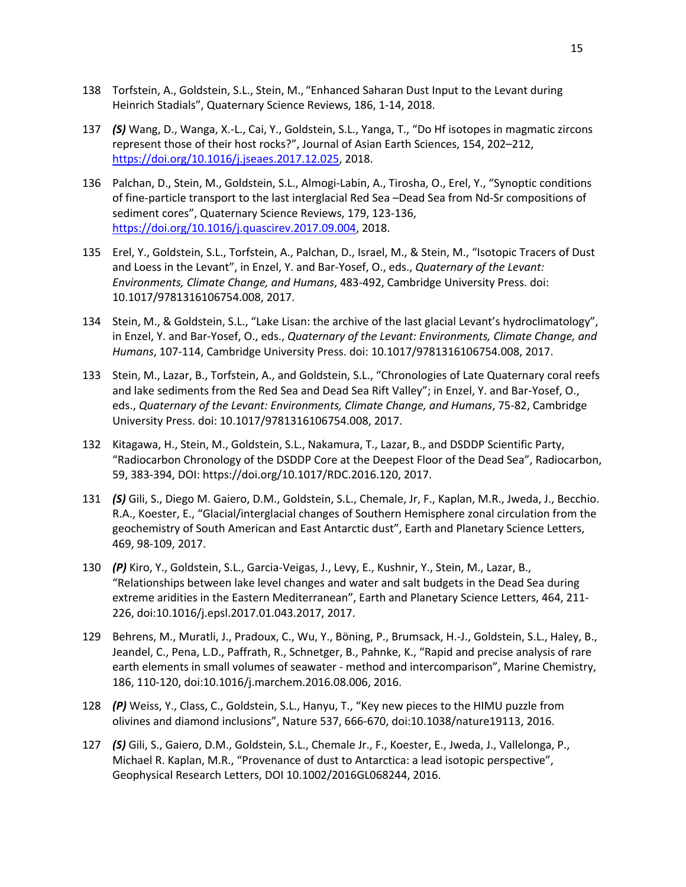- 138 Torfstein, A., Goldstein, S.L., Stein, M., "Enhanced Saharan Dust Input to the Levant during Heinrich Stadials", Quaternary Science Reviews, 186, 1-14, 2018.
- 137 *(S)* Wang, D., Wanga, X.-L., Cai, Y., Goldstein, S.L., Yanga, T., "Do Hf isotopes in magmatic zircons represent those of their host rocks?", Journal of Asian Earth Sciences, 154, 202–212, https://doi.org/10.1016/j.jseaes.2017.12.025, 2018.
- 136 Palchan, D., Stein, M., Goldstein, S.L., Almogi-Labin, A., Tirosha, O., Erel, Y., "Synoptic conditions of fine-particle transport to the last interglacial Red Sea –Dead Sea from Nd-Sr compositions of sediment cores", Quaternary Science Reviews, 179, 123-136, https://doi.org/10.1016/j.quascirev.2017.09.004, 2018.
- 135 Erel, Y., Goldstein, S.L., Torfstein, A., Palchan, D., Israel, M., & Stein, M., "Isotopic Tracers of Dust and Loess in the Levant", in Enzel, Y. and Bar-Yosef, O., eds., *Quaternary of the Levant: Environments, Climate Change, and Humans*, 483-492, Cambridge University Press. doi: 10.1017/9781316106754.008, 2017.
- 134 Stein, M., & Goldstein, S.L., "Lake Lisan: the archive of the last glacial Levant's hydroclimatology", in Enzel, Y. and Bar-Yosef, O., eds., *Quaternary of the Levant: Environments, Climate Change, and Humans*, 107-114, Cambridge University Press. doi: 10.1017/9781316106754.008, 2017.
- 133 Stein, M., Lazar, B., Torfstein, A., and Goldstein, S.L., "Chronologies of Late Quaternary coral reefs and lake sediments from the Red Sea and Dead Sea Rift Valley"; in Enzel, Y. and Bar-Yosef, O., eds., *Quaternary of the Levant: Environments, Climate Change, and Humans*, 75-82, Cambridge University Press. doi: 10.1017/9781316106754.008, 2017.
- 132 Kitagawa, H., Stein, M., Goldstein, S.L., Nakamura, T., Lazar, B., and DSDDP Scientific Party, "Radiocarbon Chronology of the DSDDP Core at the Deepest Floor of the Dead Sea", Radiocarbon, 59, 383-394, DOI: https://doi.org/10.1017/RDC.2016.120, 2017.
- 131 *(S)* Gili, S., Diego M. Gaiero, D.M., Goldstein, S.L., Chemale, Jr, F., Kaplan, M.R., Jweda, J., Becchio. R.A., Koester, E., "Glacial/interglacial changes of Southern Hemisphere zonal circulation from the geochemistry of South American and East Antarctic dust", Earth and Planetary Science Letters, 469, 98-109, 2017.
- 130 *(P)* Kiro, Y., Goldstein, S.L., Garcia-Veigas, J., Levy, E., Kushnir, Y., Stein, M., Lazar, B., "Relationships between lake level changes and water and salt budgets in the Dead Sea during extreme aridities in the Eastern Mediterranean", Earth and Planetary Science Letters, 464, 211- 226, doi:10.1016/j.epsl.2017.01.043.2017, 2017.
- 129 Behrens, M., Muratli, J., Pradoux, C., Wu, Y., Böning, P., Brumsack, H.-J., Goldstein, S.L., Haley, B., Jeandel, C., Pena, L.D., Paffrath, R., Schnetger, B., Pahnke, K., "Rapid and precise analysis of rare earth elements in small volumes of seawater - method and intercomparison", Marine Chemistry, 186, 110-120, doi:10.1016/j.marchem.2016.08.006, 2016.
- 128 *(P)* Weiss, Y., Class, C., Goldstein, S.L., Hanyu, T., "Key new pieces to the HIMU puzzle from olivines and diamond inclusions", Nature 537, 666-670, doi:10.1038/nature19113, 2016.
- 127 *(S)* Gili, S., Gaiero, D.M., Goldstein, S.L., Chemale Jr., F., Koester, E., Jweda, J., Vallelonga, P., Michael R. Kaplan, M.R., "Provenance of dust to Antarctica: a lead isotopic perspective", Geophysical Research Letters, DOI 10.1002/2016GL068244, 2016.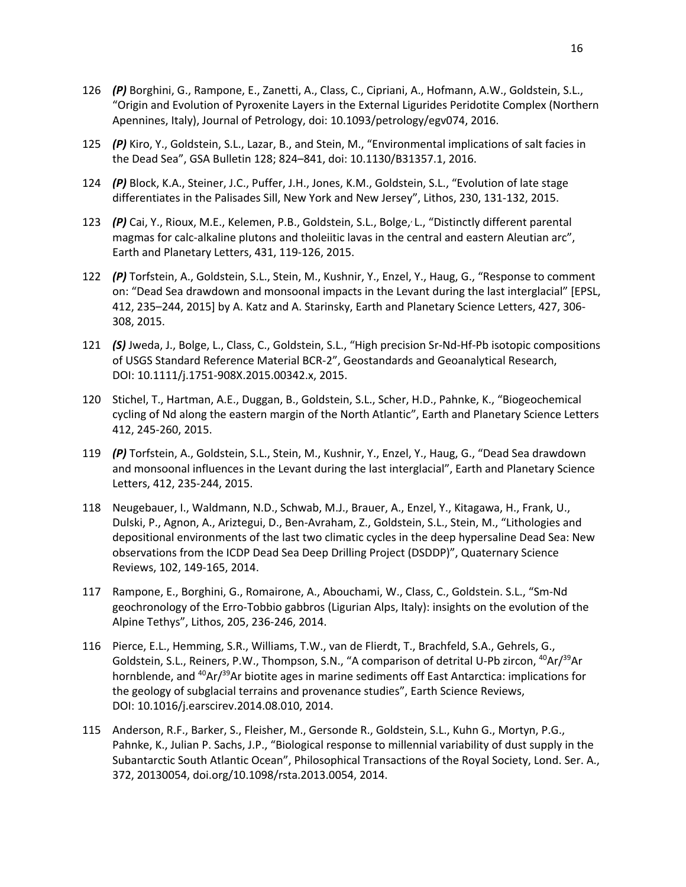- 126 *(P)* Borghini, G., Rampone, E., Zanetti, A., Class, C., Cipriani, A., Hofmann, A.W., Goldstein, S.L., "Origin and Evolution of Pyroxenite Layers in the External Ligurides Peridotite Complex (Northern Apennines, Italy), Journal of Petrology, doi: 10.1093/petrology/egv074, 2016.
- 125 *(P)* Kiro, Y., Goldstein, S.L., Lazar, B., and Stein, M., "Environmental implications of salt facies in the Dead Sea", GSA Bulletin 128; 824–841, doi: 10.1130/B31357.1, 2016.
- 124 *(P)* Block, K.A., Steiner, J.C., Puffer, J.H., Jones, K.M., Goldstein, S.L., "Evolution of late stage differentiates in the Palisades Sill, New York and New Jersey", Lithos, 230, 131-132, 2015.
- 123 (P) Cai, Y., Rioux, M.E., Kelemen, P.B., Goldstein, S.L., Bolge, L., "Distinctly different parental magmas for calc-alkaline plutons and tholeiitic lavas in the central and eastern Aleutian arc", Earth and Planetary Letters, 431, 119-126, 2015.
- 122 *(P)* Torfstein, A., Goldstein, S.L., Stein, M., Kushnir, Y., Enzel, Y., Haug, G., "Response to comment on: "Dead Sea drawdown and monsoonal impacts in the Levant during the last interglacial" [EPSL, 412, 235–244, 2015] by A. Katz and A. Starinsky, Earth and Planetary Science Letters, 427, 306- 308, 2015.
- 121 *(S)* Jweda, J., Bolge, L., Class, C., Goldstein, S.L., "High precision Sr-Nd-Hf-Pb isotopic compositions of USGS Standard Reference Material BCR-2", Geostandards and Geoanalytical Research, DOI: 10.1111/j.1751-908X.2015.00342.x, 2015.
- 120 Stichel, T., Hartman, A.E., Duggan, B., Goldstein, S.L., Scher, H.D., Pahnke, K., "Biogeochemical cycling of Nd along the eastern margin of the North Atlantic", Earth and Planetary Science Letters 412, 245-260, 2015.
- 119 *(P)* Torfstein, A., Goldstein, S.L., Stein, M., Kushnir, Y., Enzel, Y., Haug, G., "Dead Sea drawdown and monsoonal influences in the Levant during the last interglacial", Earth and Planetary Science Letters, 412, 235-244, 2015.
- 118 Neugebauer, I., Waldmann, N.D., Schwab, M.J., Brauer, A., Enzel, Y., Kitagawa, H., Frank, U., Dulski, P., Agnon, A., Ariztegui, D., Ben-Avraham, Z., Goldstein, S.L., Stein, M., "Lithologies and depositional environments of the last two climatic cycles in the deep hypersaline Dead Sea: New observations from the ICDP Dead Sea Deep Drilling Project (DSDDP)", Quaternary Science Reviews, 102, 149-165, 2014.
- 117 Rampone, E., Borghini, G., Romairone, A., Abouchami, W., Class, C., Goldstein. S.L., "Sm-Nd geochronology of the Erro-Tobbio gabbros (Ligurian Alps, Italy): insights on the evolution of the Alpine Tethys", Lithos, 205, 236-246, 2014.
- 116 Pierce, E.L., Hemming, S.R., Williams, T.W., van de Flierdt, T., Brachfeld, S.A., Gehrels, G., Goldstein, S.L., Reiners, P.W., Thompson, S.N., "A comparison of detrital U-Pb zircon, <sup>40</sup>Ar/<sup>39</sup>Ar hornblende, and  ${}^{40}Ar/{}^{39}Ar$  biotite ages in marine sediments off East Antarctica: implications for the geology of subglacial terrains and provenance studies", Earth Science Reviews, DOI: 10.1016/j.earscirev.2014.08.010, 2014.
- 115 Anderson, R.F., Barker, S., Fleisher, M., Gersonde R., Goldstein, S.L., Kuhn G., Mortyn, P.G., Pahnke, K., Julian P. Sachs, J.P., "Biological response to millennial variability of dust supply in the Subantarctic South Atlantic Ocean", Philosophical Transactions of the Royal Society, Lond. Ser. A., 372, 20130054, doi.org/10.1098/rsta.2013.0054, 2014.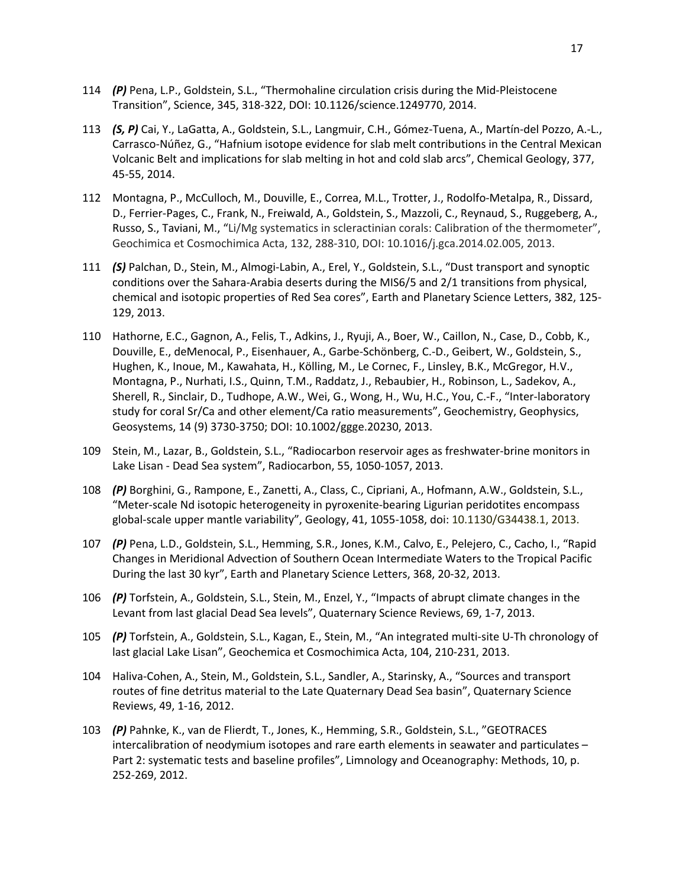- 114 *(P)* Pena, L.P., Goldstein, S.L., "Thermohaline circulation crisis during the Mid-Pleistocene Transition", Science, 345, 318-322, DOI: 10.1126/science.1249770, 2014.
- 113 *(S, P)* Cai, Y., LaGatta, A., Goldstein, S.L., Langmuir, C.H., Gómez-Tuena, A., Martín-del Pozzo, A.-L., Carrasco-Núñez, G., "Hafnium isotope evidence for slab melt contributions in the Central Mexican Volcanic Belt and implications for slab melting in hot and cold slab arcs", Chemical Geology, 377, 45-55, 2014.
- 112 Montagna, P., McCulloch, M., Douville, E., Correa, M.L., Trotter, J., Rodolfo-Metalpa, R., Dissard, D., Ferrier-Pages, C., Frank, N., Freiwald, A., Goldstein, S., Mazzoli, C., Reynaud, S., Ruggeberg, A., Russo, S., Taviani, M., "Li/Mg systematics in scleractinian corals: Calibration of the thermometer", Geochimica et Cosmochimica Acta, 132, 288-310, DOI: 10.1016/j.gca.2014.02.005, 2013.
- 111 *(S)* Palchan, D., Stein, M., Almogi-Labin, A., Erel, Y., Goldstein, S.L., "Dust transport and synoptic conditions over the Sahara-Arabia deserts during the MIS6/5 and 2/1 transitions from physical, chemical and isotopic properties of Red Sea cores", Earth and Planetary Science Letters, 382, 125- 129, 2013.
- 110 Hathorne, E.C., Gagnon, A., Felis, T., Adkins, J., Ryuji, A., Boer, W., Caillon, N., Case, D., Cobb, K., Douville, E., deMenocal, P., Eisenhauer, A., Garbe-Schönberg, C.-D., Geibert, W., Goldstein, S., Hughen, K., Inoue, M., Kawahata, H., Kölling, M., Le Cornec, F., Linsley, B.K., McGregor, H.V., Montagna, P., Nurhati, I.S., Quinn, T.M., Raddatz, J., Rebaubier, H., Robinson, L., Sadekov, A., Sherell, R., Sinclair, D., Tudhope, A.W., Wei, G., Wong, H., Wu, H.C., You, C.-F., "Inter-laboratory study for coral Sr/Ca and other element/Ca ratio measurements", Geochemistry, Geophysics, Geosystems, 14 (9) 3730-3750; DOI: 10.1002/ggge.20230, 2013.
- 109 Stein, M., Lazar, B., Goldstein, S.L., "Radiocarbon reservoir ages as freshwater-brine monitors in Lake Lisan - Dead Sea system", Radiocarbon, 55, 1050-1057, 2013.
- 108 *(P)* Borghini, G., Rampone, E., Zanetti, A., Class, C., Cipriani, A., Hofmann, A.W., Goldstein, S.L., "Meter-scale Nd isotopic heterogeneity in pyroxenite-bearing Ligurian peridotites encompass global-scale upper mantle variability", Geology, 41, 1055-1058, doi: 10.1130/G34438.1, 2013.
- 107 *(P)* Pena, L.D., Goldstein, S.L., Hemming, S.R., Jones, K.M., Calvo, E., Pelejero, C., Cacho, I., "Rapid Changes in Meridional Advection of Southern Ocean Intermediate Waters to the Tropical Pacific During the last 30 kyr", Earth and Planetary Science Letters, 368, 20-32, 2013.
- 106 *(P)* Torfstein, A., Goldstein, S.L., Stein, M., Enzel, Y., "Impacts of abrupt climate changes in the Levant from last glacial Dead Sea levels", Quaternary Science Reviews, 69, 1-7, 2013.
- 105 *(P)* Torfstein, A., Goldstein, S.L., Kagan, E., Stein, M., "An integrated multi-site U-Th chronology of last glacial Lake Lisan", Geochemica et Cosmochimica Acta, 104, 210-231, 2013.
- 104 Haliva-Cohen, A., Stein, M., Goldstein, S.L., Sandler, A., Starinsky, A., "Sources and transport routes of fine detritus material to the Late Quaternary Dead Sea basin", Quaternary Science Reviews, 49, 1-16, 2012.
- 103 *(P)* Pahnke, K., van de Flierdt, T., Jones, K., Hemming, S.R., Goldstein, S.L., "GEOTRACES intercalibration of neodymium isotopes and rare earth elements in seawater and particulates – Part 2: systematic tests and baseline profiles", Limnology and Oceanography: Methods, 10, p. 252-269, 2012.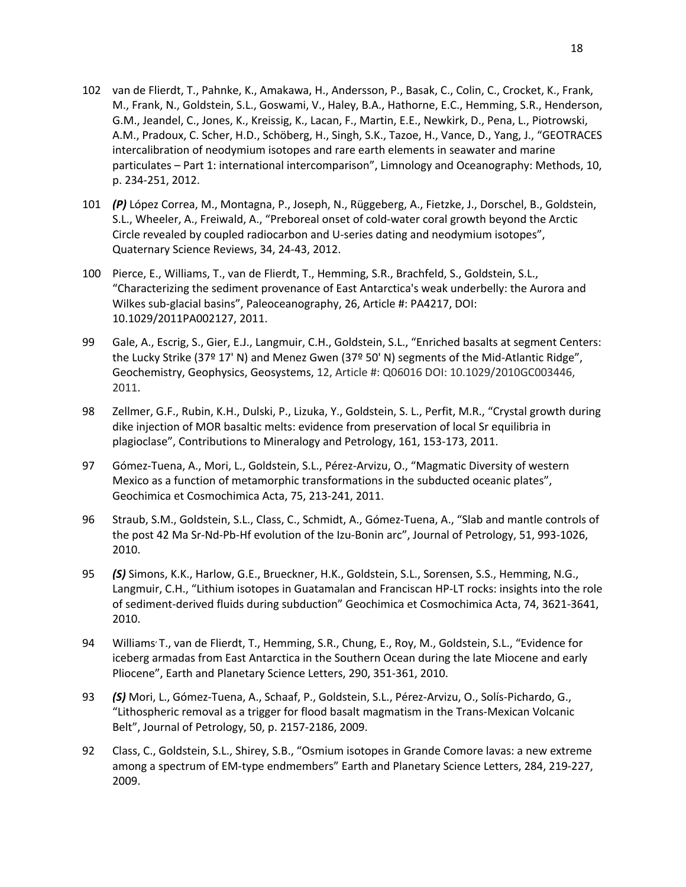- 102 van de Flierdt, T., Pahnke, K., Amakawa, H., Andersson, P., Basak, C., Colin, C., Crocket, K., Frank, M., Frank, N., Goldstein, S.L., Goswami, V., Haley, B.A., Hathorne, E.C., Hemming, S.R., Henderson, G.M., Jeandel, C., Jones, K., Kreissig, K., Lacan, F., Martin, E.E., Newkirk, D., Pena, L., Piotrowski, A.M., Pradoux, C. Scher, H.D., Schöberg, H., Singh, S.K., Tazoe, H., Vance, D., Yang, J., "GEOTRACES intercalibration of neodymium isotopes and rare earth elements in seawater and marine particulates – Part 1: international intercomparison", Limnology and Oceanography: Methods, 10, p. 234-251, 2012.
- 101 *(P)* López Correa, M., Montagna, P., Joseph, N., Rüggeberg, A., Fietzke, J., Dorschel, B., Goldstein, S.L., Wheeler, A., Freiwald, A., "Preboreal onset of cold-water coral growth beyond the Arctic Circle revealed by coupled radiocarbon and U-series dating and neodymium isotopes", Quaternary Science Reviews, 34, 24-43, 2012.
- 100 Pierce, E., Williams, T., van de Flierdt, T., Hemming, S.R., Brachfeld, S., Goldstein, S.L., "Characterizing the sediment provenance of East Antarctica's weak underbelly: the Aurora and Wilkes sub-glacial basins", Paleoceanography, 26, Article #: PA4217, DOI: 10.1029/2011PA002127, 2011.
- 99 Gale, A., Escrig, S., Gier, E.J., Langmuir, C.H., Goldstein, S.L., "Enriched basalts at segment Centers: the Lucky Strike (37º 17' N) and Menez Gwen (37º 50' N) segments of the Mid-Atlantic Ridge", Geochemistry, Geophysics, Geosystems, 12, Article #: Q06016 DOI: 10.1029/2010GC003446, 2011.
- 98 Zellmer, G.F., Rubin, K.H., Dulski, P., Lizuka, Y., Goldstein, S. L., Perfit, M.R., "Crystal growth during dike injection of MOR basaltic melts: evidence from preservation of local Sr equilibria in plagioclase", Contributions to Mineralogy and Petrology, 161, 153-173, 2011.
- 97 Gómez-Tuena, A., Mori, L., Goldstein, S.L., Pérez-Arvizu, O., "Magmatic Diversity of western Mexico as a function of metamorphic transformations in the subducted oceanic plates", Geochimica et Cosmochimica Acta, 75, 213-241, 2011.
- 96 Straub, S.M., Goldstein, S.L., Class, C., Schmidt, A., Gómez-Tuena, A., "Slab and mantle controls of the post 42 Ma Sr-Nd-Pb-Hf evolution of the Izu-Bonin arc", Journal of Petrology, 51, 993-1026, 2010.
- 95 *(S)* Simons, K.K., Harlow, G.E., Brueckner, H.K., Goldstein, S.L., Sorensen, S.S., Hemming, N.G., Langmuir, C.H., "Lithium isotopes in Guatamalan and Franciscan HP-LT rocks: insights into the role of sediment-derived fluids during subduction" Geochimica et Cosmochimica Acta, 74, 3621-3641, 2010.
- 94 Williams<sup>,</sup> T., van de Flierdt, T., Hemming, S.R., Chung, E., Roy, M., Goldstein, S.L., "Evidence for iceberg armadas from East Antarctica in the Southern Ocean during the late Miocene and early Pliocene", Earth and Planetary Science Letters, 290, 351-361, 2010.
- 93 *(S)* Mori, L., Gómez-Tuena, A., Schaaf, P., Goldstein, S.L., Pérez-Arvizu, O., Solís-Pichardo, G., "Lithospheric removal as a trigger for flood basalt magmatism in the Trans-Mexican Volcanic Belt", Journal of Petrology, 50, p. 2157-2186, 2009.
- 92 Class, C., Goldstein, S.L., Shirey, S.B., "Osmium isotopes in Grande Comore lavas: a new extreme among a spectrum of EM-type endmembers" Earth and Planetary Science Letters, 284, 219-227, 2009.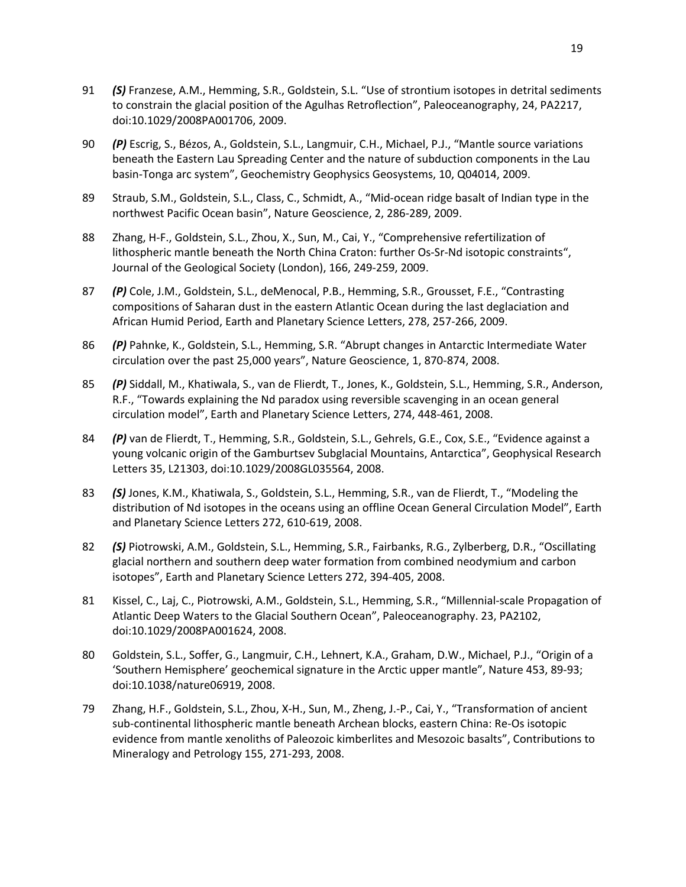- 91 *(S)* Franzese, A.M., Hemming, S.R., Goldstein, S.L. "Use of strontium isotopes in detrital sediments to constrain the glacial position of the Agulhas Retroflection", Paleoceanography, 24, PA2217, doi:10.1029/2008PA001706, 2009.
- 90 *(P)* Escrig, S., Bézos, A., Goldstein, S.L., Langmuir, C.H., Michael, P.J., "Mantle source variations beneath the Eastern Lau Spreading Center and the nature of subduction components in the Lau basin-Tonga arc system", Geochemistry Geophysics Geosystems, 10, Q04014, 2009.
- 89 Straub, S.M., Goldstein, S.L., Class, C., Schmidt, A., "Mid-ocean ridge basalt of Indian type in the northwest Pacific Ocean basin", Nature Geoscience, 2, 286-289, 2009.
- 88 Zhang, H-F., Goldstein, S.L., Zhou, X., Sun, M., Cai, Y., "Comprehensive refertilization of lithospheric mantle beneath the North China Craton: further Os-Sr-Nd isotopic constraints", Journal of the Geological Society (London), 166, 249-259, 2009.
- 87 *(P)* Cole, J.M., Goldstein, S.L., deMenocal, P.B., Hemming, S.R., Grousset, F.E., "Contrasting compositions of Saharan dust in the eastern Atlantic Ocean during the last deglaciation and African Humid Period, Earth and Planetary Science Letters, 278, 257-266, 2009.
- 86 *(P)* Pahnke, K., Goldstein, S.L., Hemming, S.R. "Abrupt changes in Antarctic Intermediate Water circulation over the past 25,000 years", Nature Geoscience, 1, 870-874, 2008.
- 85 *(P)* Siddall, M., Khatiwala, S., van de Flierdt, T., Jones, K., Goldstein, S.L., Hemming, S.R., Anderson, R.F., "Towards explaining the Nd paradox using reversible scavenging in an ocean general circulation model", Earth and Planetary Science Letters, 274, 448-461, 2008.
- 84 *(P)* van de Flierdt, T., Hemming, S.R., Goldstein, S.L., Gehrels, G.E., Cox, S.E., "Evidence against a young volcanic origin of the Gamburtsev Subglacial Mountains, Antarctica", Geophysical Research Letters 35, L21303, doi:10.1029/2008GL035564, 2008.
- 83 *(S)* Jones, K.M., Khatiwala, S., Goldstein, S.L., Hemming, S.R., van de Flierdt, T., "Modeling the distribution of Nd isotopes in the oceans using an offline Ocean General Circulation Model", Earth and Planetary Science Letters 272, 610-619, 2008.
- 82 *(S)* Piotrowski, A.M., Goldstein, S.L., Hemming, S.R., Fairbanks, R.G., Zylberberg, D.R., "Oscillating glacial northern and southern deep water formation from combined neodymium and carbon isotopes", Earth and Planetary Science Letters 272, 394-405, 2008.
- 81 Kissel, C., Laj, C., Piotrowski, A.M., Goldstein, S.L., Hemming, S.R., "Millennial-scale Propagation of Atlantic Deep Waters to the Glacial Southern Ocean", Paleoceanography. 23, PA2102, doi:10.1029/2008PA001624, 2008.
- 80 Goldstein, S.L., Soffer, G., Langmuir, C.H., Lehnert, K.A., Graham, D.W., Michael, P.J., "Origin of a 'Southern Hemisphere' geochemical signature in the Arctic upper mantle", Nature 453, 89-93; doi:10.1038/nature06919, 2008.
- 79 Zhang, H.F., Goldstein, S.L., Zhou, X-H., Sun, M., Zheng, J.-P., Cai, Y., "Transformation of ancient sub-continental lithospheric mantle beneath Archean blocks, eastern China: Re-Os isotopic evidence from mantle xenoliths of Paleozoic kimberlites and Mesozoic basalts", Contributions to Mineralogy and Petrology 155, 271-293, 2008.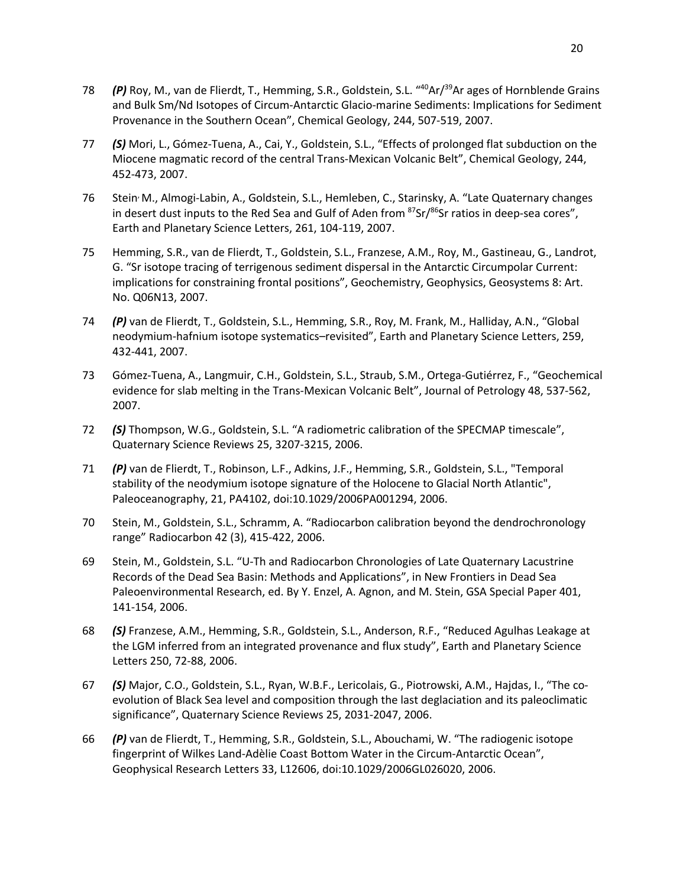- 78 *(P)* Roy, M., van de Flierdt, T., Hemming, S.R., Goldstein, S.L. "<sup>40</sup>Ar/<sup>39</sup>Ar ages of Hornblende Grains and Bulk Sm/Nd Isotopes of Circum-Antarctic Glacio-marine Sediments: Implications for Sediment Provenance in the Southern Ocean", Chemical Geology, 244, 507-519, 2007.
- 77 *(S)* Mori, L., Gómez-Tuena, A., Cai, Y., Goldstein, S.L., "Effects of prolonged flat subduction on the Miocene magmatic record of the central Trans-Mexican Volcanic Belt", Chemical Geology, 244, 452-473, 2007.
- 76 Stein, M., Almogi-Labin, A., Goldstein, S.L., Hemleben, C., Starinsky, A. "Late Quaternary changes in desert dust inputs to the Red Sea and Gulf of Aden from  $87$ Sr/ $86$ Sr ratios in deep-sea cores", Earth and Planetary Science Letters, 261, 104-119, 2007.
- 75 Hemming, S.R., van de Flierdt, T., Goldstein, S.L., Franzese, A.M., Roy, M., Gastineau, G., Landrot, G. "Sr isotope tracing of terrigenous sediment dispersal in the Antarctic Circumpolar Current: implications for constraining frontal positions", Geochemistry, Geophysics, Geosystems 8: Art. No. Q06N13, 2007.
- 74 *(P)* van de Flierdt, T., Goldstein, S.L., Hemming, S.R., Roy, M. Frank, M., Halliday, A.N., "Global neodymium-hafnium isotope systematics–revisited", Earth and Planetary Science Letters, 259, 432-441, 2007.
- 73 Gómez-Tuena, A., Langmuir, C.H., Goldstein, S.L., Straub, S.M., Ortega-Gutiérrez, F., "Geochemical evidence for slab melting in the Trans-Mexican Volcanic Belt", Journal of Petrology 48, 537-562, 2007.
- 72 *(S)* Thompson, W.G., Goldstein, S.L. "A radiometric calibration of the SPECMAP timescale", Quaternary Science Reviews 25, 3207-3215, 2006.
- 71 *(P)* van de Flierdt, T., Robinson, L.F., Adkins, J.F., Hemming, S.R., Goldstein, S.L., "Temporal stability of the neodymium isotope signature of the Holocene to Glacial North Atlantic", Paleoceanography, 21, PA4102, doi:10.1029/2006PA001294, 2006.
- 70 Stein, M., Goldstein, S.L., Schramm, A. "Radiocarbon calibration beyond the dendrochronology range" Radiocarbon 42 (3), 415-422, 2006.
- 69 Stein, M., Goldstein, S.L. "U-Th and Radiocarbon Chronologies of Late Quaternary Lacustrine Records of the Dead Sea Basin: Methods and Applications", in New Frontiers in Dead Sea Paleoenvironmental Research, ed. By Y. Enzel, A. Agnon, and M. Stein, GSA Special Paper 401, 141-154, 2006.
- 68 *(S)* Franzese, A.M., Hemming, S.R., Goldstein, S.L., Anderson, R.F., "Reduced Agulhas Leakage at the LGM inferred from an integrated provenance and flux study", Earth and Planetary Science Letters 250, 72-88, 2006.
- 67 *(S)* Major, C.O., Goldstein, S.L., Ryan, W.B.F., Lericolais, G., Piotrowski, A.M., Hajdas, I., "The coevolution of Black Sea level and composition through the last deglaciation and its paleoclimatic significance", Quaternary Science Reviews 25, 2031-2047, 2006.
- 66 *(P)* van de Flierdt, T., Hemming, S.R., Goldstein, S.L., Abouchami, W. "The radiogenic isotope fingerprint of Wilkes Land-Adèlie Coast Bottom Water in the Circum-Antarctic Ocean", Geophysical Research Letters 33, L12606, doi:10.1029/2006GL026020, 2006.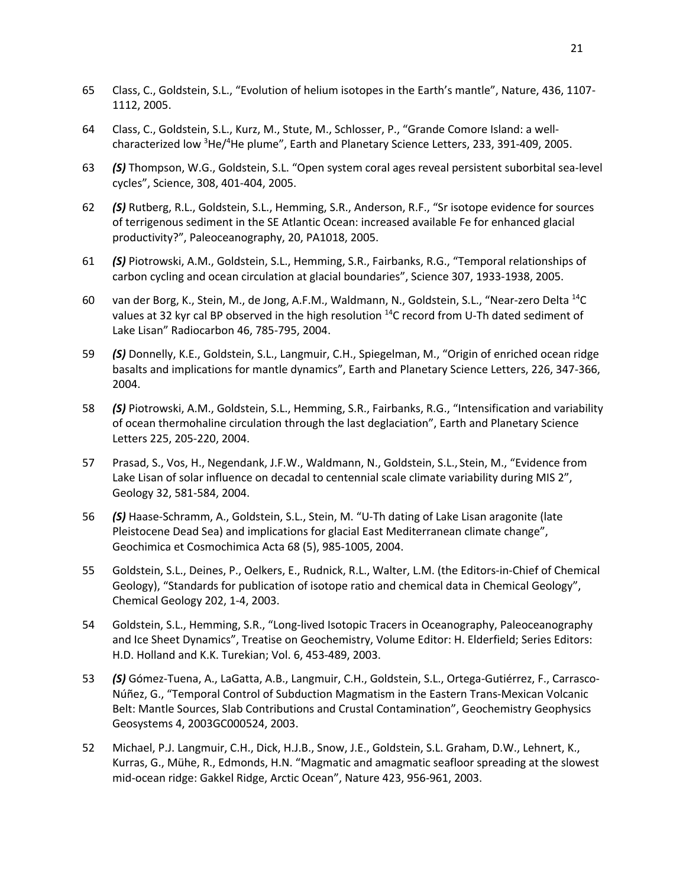- 65 Class, C., Goldstein, S.L., "Evolution of helium isotopes in the Earth's mantle", Nature, 436, 1107- 1112, 2005.
- 64 Class, C., Goldstein, S.L., Kurz, M., Stute, M., Schlosser, P., "Grande Comore Island: a wellcharacterized low <sup>3</sup>He/<sup>4</sup>He plume", Earth and Planetary Science Letters, 233, 391-409, 2005.
- 63 *(S)* Thompson, W.G., Goldstein, S.L. "Open system coral ages reveal persistent suborbital sea-level cycles", Science, 308, 401-404, 2005.
- 62 *(S)* Rutberg, R.L., Goldstein, S.L., Hemming, S.R., Anderson, R.F., "Sr isotope evidence for sources of terrigenous sediment in the SE Atlantic Ocean: increased available Fe for enhanced glacial productivity?", Paleoceanography, 20, PA1018, 2005.
- 61 *(S)* Piotrowski, A.M., Goldstein, S.L., Hemming, S.R., Fairbanks, R.G., "Temporal relationships of carbon cycling and ocean circulation at glacial boundaries", Science 307, 1933-1938, 2005.
- 60 van der Borg, K., Stein, M., de Jong, A.F.M., Waldmann, N., Goldstein, S.L., "Near-zero Delta 14C values at 32 kyr cal BP observed in the high resolution  $^{14}$ C record from U-Th dated sediment of Lake Lisan" Radiocarbon 46, 785-795, 2004.
- 59 *(S)* Donnelly, K.E., Goldstein, S.L., Langmuir, C.H., Spiegelman, M., "Origin of enriched ocean ridge basalts and implications for mantle dynamics", Earth and Planetary Science Letters, 226, 347-366, 2004.
- 58 *(S)* Piotrowski, A.M., Goldstein, S.L., Hemming, S.R., Fairbanks, R.G., "Intensification and variability of ocean thermohaline circulation through the last deglaciation", Earth and Planetary Science Letters 225, 205-220, 2004.
- 57 Prasad, S., Vos, H., Negendank, J.F.W., Waldmann, N., Goldstein, S.L., Stein, M., "Evidence from Lake Lisan of solar influence on decadal to centennial scale climate variability during MIS 2", Geology 32, 581-584, 2004.
- 56 *(S)* Haase-Schramm, A., Goldstein, S.L., Stein, M. "U-Th dating of Lake Lisan aragonite (late Pleistocene Dead Sea) and implications for glacial East Mediterranean climate change", Geochimica et Cosmochimica Acta 68 (5), 985-1005, 2004.
- 55 Goldstein, S.L., Deines, P., Oelkers, E., Rudnick, R.L., Walter, L.M. (the Editors-in-Chief of Chemical Geology), "Standards for publication of isotope ratio and chemical data in Chemical Geology", Chemical Geology 202, 1-4, 2003.
- 54 Goldstein, S.L., Hemming, S.R., "Long-lived Isotopic Tracers in Oceanography, Paleoceanography and Ice Sheet Dynamics", Treatise on Geochemistry, Volume Editor: H. Elderfield; Series Editors: H.D. Holland and K.K. Turekian; Vol. 6, 453-489, 2003.
- 53 *(S)* Gómez-Tuena, A., LaGatta, A.B., Langmuir, C.H., Goldstein, S.L., Ortega-Gutiérrez, F., Carrasco-Núñez, G., "Temporal Control of Subduction Magmatism in the Eastern Trans-Mexican Volcanic Belt: Mantle Sources, Slab Contributions and Crustal Contamination", Geochemistry Geophysics Geosystems 4, 2003GC000524, 2003.
- 52 Michael, P.J. Langmuir, C.H., Dick, H.J.B., Snow, J.E., Goldstein, S.L. Graham, D.W., Lehnert, K., Kurras, G., Mühe, R., Edmonds, H.N. "Magmatic and amagmatic seafloor spreading at the slowest mid-ocean ridge: Gakkel Ridge, Arctic Ocean", Nature 423, 956-961, 2003.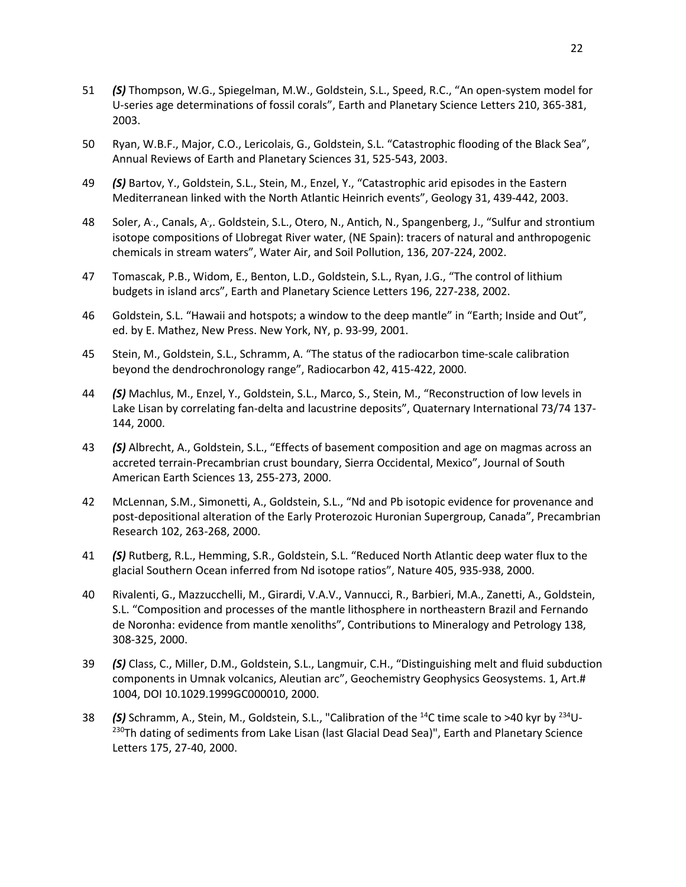- 51 *(S)* Thompson, W.G., Spiegelman, M.W., Goldstein, S.L., Speed, R.C., "An open-system model for U-series age determinations of fossil corals", Earth and Planetary Science Letters 210, 365-381, 2003.
- 50 Ryan, W.B.F., Major, C.O., Lericolais, G., Goldstein, S.L. "Catastrophic flooding of the Black Sea", Annual Reviews of Earth and Planetary Sciences 31, 525-543, 2003.
- 49 *(S)* Bartov, Y., Goldstein, S.L., Stein, M., Enzel, Y., "Catastrophic arid episodes in the Eastern Mediterranean linked with the North Atlantic Heinrich events", Geology 31, 439-442, 2003.
- 48 Soler, A., Canals, A., Goldstein, S.L., Otero, N., Antich, N., Spangenberg, J., "Sulfur and strontium isotope compositions of Llobregat River water, (NE Spain): tracers of natural and anthropogenic chemicals in stream waters", Water Air, and Soil Pollution, 136, 207-224, 2002.
- 47 Tomascak, P.B., Widom, E., Benton, L.D., Goldstein, S.L., Ryan, J.G., "The control of lithium budgets in island arcs", Earth and Planetary Science Letters 196, 227-238, 2002.
- 46 Goldstein, S.L. "Hawaii and hotspots; a window to the deep mantle" in "Earth; Inside and Out", ed. by E. Mathez, New Press. New York, NY, p. 93-99, 2001.
- 45 Stein, M., Goldstein, S.L., Schramm, A. "The status of the radiocarbon time-scale calibration beyond the dendrochronology range", Radiocarbon 42, 415-422, 2000.
- 44 *(S)* Machlus, M., Enzel, Y., Goldstein, S.L., Marco, S., Stein, M., "Reconstruction of low levels in Lake Lisan by correlating fan-delta and lacustrine deposits", Quaternary International 73/74 137- 144, 2000.
- 43 *(S)* Albrecht, A., Goldstein, S.L., "Effects of basement composition and age on magmas across an accreted terrain-Precambrian crust boundary, Sierra Occidental, Mexico", Journal of South American Earth Sciences 13, 255-273, 2000.
- 42 McLennan, S.M., Simonetti, A., Goldstein, S.L., "Nd and Pb isotopic evidence for provenance and post-depositional alteration of the Early Proterozoic Huronian Supergroup, Canada", Precambrian Research 102, 263-268, 2000.
- 41 *(S)* Rutberg, R.L., Hemming, S.R., Goldstein, S.L. "Reduced North Atlantic deep water flux to the glacial Southern Ocean inferred from Nd isotope ratios", Nature 405, 935-938, 2000.
- 40 Rivalenti, G., Mazzucchelli, M., Girardi, V.A.V., Vannucci, R., Barbieri, M.A., Zanetti, A., Goldstein, S.L. "Composition and processes of the mantle lithosphere in northeastern Brazil and Fernando de Noronha: evidence from mantle xenoliths", Contributions to Mineralogy and Petrology 138, 308-325, 2000.
- 39 *(S)* Class, C., Miller, D.M., Goldstein, S.L., Langmuir, C.H., "Distinguishing melt and fluid subduction components in Umnak volcanics, Aleutian arc", Geochemistry Geophysics Geosystems. 1, Art.# 1004, DOI 10.1029.1999GC000010, 2000.
- 38 *(S)* Schramm, A., Stein, M., Goldstein, S.L., "Calibration of the 14C time scale to >40 kyr by 234U- <sup>230</sup>Th dating of sediments from Lake Lisan (last Glacial Dead Sea)", Earth and Planetary Science Letters 175, 27-40, 2000.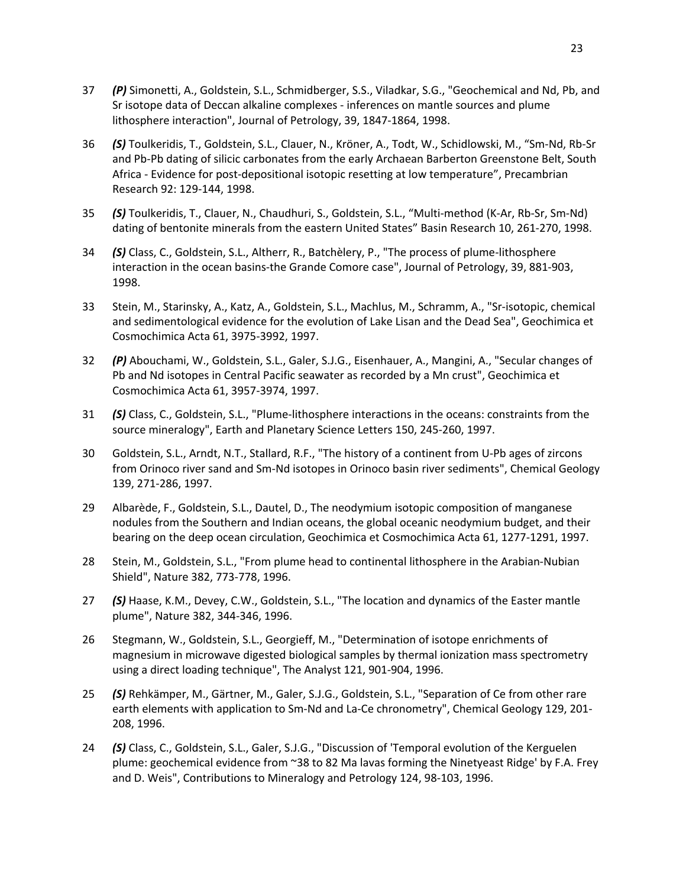- 37 *(P)* Simonetti, A., Goldstein, S.L., Schmidberger, S.S., Viladkar, S.G., "Geochemical and Nd, Pb, and Sr isotope data of Deccan alkaline complexes - inferences on mantle sources and plume lithosphere interaction", Journal of Petrology, 39, 1847-1864, 1998.
- 36 *(S)* Toulkeridis, T., Goldstein, S.L., Clauer, N., Kröner, A., Todt, W., Schidlowski, M., "Sm-Nd, Rb-Sr and Pb-Pb dating of silicic carbonates from the early Archaean Barberton Greenstone Belt, South Africa - Evidence for post-depositional isotopic resetting at low temperature", Precambrian Research 92: 129-144, 1998.
- 35 *(S)* Toulkeridis, T., Clauer, N., Chaudhuri, S., Goldstein, S.L., "Multi-method (K-Ar, Rb-Sr, Sm-Nd) dating of bentonite minerals from the eastern United States" Basin Research 10, 261-270, 1998.
- 34 *(S)* Class, C., Goldstein, S.L., Altherr, R., Batchèlery, P., "The process of plume-lithosphere interaction in the ocean basins-the Grande Comore case", Journal of Petrology, 39, 881-903, 1998.
- 33 Stein, M., Starinsky, A., Katz, A., Goldstein, S.L., Machlus, M., Schramm, A., "Sr-isotopic, chemical and sedimentological evidence for the evolution of Lake Lisan and the Dead Sea", Geochimica et Cosmochimica Acta 61, 3975-3992, 1997.
- 32 *(P)* Abouchami, W., Goldstein, S.L., Galer, S.J.G., Eisenhauer, A., Mangini, A., "Secular changes of Pb and Nd isotopes in Central Pacific seawater as recorded by a Mn crust", Geochimica et Cosmochimica Acta 61, 3957-3974, 1997.
- 31 *(S)* Class, C., Goldstein, S.L., "Plume-lithosphere interactions in the oceans: constraints from the source mineralogy", Earth and Planetary Science Letters 150, 245-260, 1997.
- 30 Goldstein, S.L., Arndt, N.T., Stallard, R.F., "The history of a continent from U-Pb ages of zircons from Orinoco river sand and Sm-Nd isotopes in Orinoco basin river sediments", Chemical Geology 139, 271-286, 1997.
- 29 Albarède, F., Goldstein, S.L., Dautel, D., The neodymium isotopic composition of manganese nodules from the Southern and Indian oceans, the global oceanic neodymium budget, and their bearing on the deep ocean circulation, Geochimica et Cosmochimica Acta 61, 1277-1291, 1997.
- 28 Stein, M., Goldstein, S.L., "From plume head to continental lithosphere in the Arabian-Nubian Shield", Nature 382, 773-778, 1996.
- 27 *(S)* Haase, K.M., Devey, C.W., Goldstein, S.L., "The location and dynamics of the Easter mantle plume", Nature 382, 344-346, 1996.
- 26 Stegmann, W., Goldstein, S.L., Georgieff, M., "Determination of isotope enrichments of magnesium in microwave digested biological samples by thermal ionization mass spectrometry using a direct loading technique", The Analyst 121, 901-904, 1996.
- 25 *(S)* Rehkämper, M., Gärtner, M., Galer, S.J.G., Goldstein, S.L., "Separation of Ce from other rare earth elements with application to Sm-Nd and La-Ce chronometry", Chemical Geology 129, 201- 208, 1996.
- 24 *(S)* Class, C., Goldstein, S.L., Galer, S.J.G., "Discussion of 'Temporal evolution of the Kerguelen plume: geochemical evidence from ~38 to 82 Ma lavas forming the Ninetyeast Ridge' by F.A. Frey and D. Weis", Contributions to Mineralogy and Petrology 124, 98-103, 1996.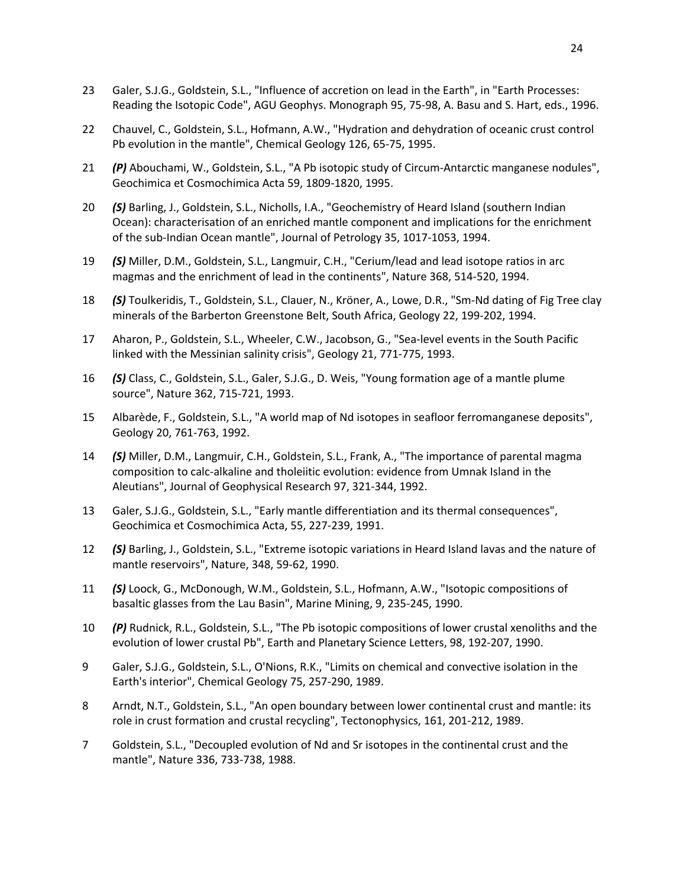- 23 Galer, S.J.G., Goldstein, S.L., "Influence of accretion on lead in the Earth", in "Earth Processes: Reading the Isotopic Code", AGU Geophys. Monograph 95, 75-98, A. Basu and S. Hart, eds., 1996.
- 22 Chauvel, C., Goldstein, S.L., Hofmann, A.W., "Hydration and dehydration of oceanic crust control Pb evolution in the mantle", Chemical Geology 126, 65-75, 1995.
- 21 *(P)* Abouchami, W., Goldstein, S.L., "A Pb isotopic study of Circum-Antarctic manganese nodules", Geochimica et Cosmochimica Acta 59, 1809-1820, 1995.
- 20 *(S)* Barling, J., Goldstein, S.L., Nicholls, I.A., "Geochemistry of Heard Island (southern Indian Ocean): characterisation of an enriched mantle component and implications for the enrichment of the sub-Indian Ocean mantle", Journal of Petrology 35, 1017-1053, 1994.
- 19 *(S)* Miller, D.M., Goldstein, S.L., Langmuir, C.H., "Cerium/lead and lead isotope ratios in arc magmas and the enrichment of lead in the continents", Nature 368, 514-520, 1994.
- 18 *(S)* Toulkeridis, T., Goldstein, S.L., Clauer, N., Kröner, A., Lowe, D.R., "Sm-Nd dating of Fig Tree clay minerals of the Barberton Greenstone Belt, South Africa, Geology 22, 199-202, 1994.
- 17 Aharon, P., Goldstein, S.L., Wheeler, C.W., Jacobson, G., "Sea-level events in the South Pacific linked with the Messinian salinity crisis", Geology 21, 771-775, 1993.
- 16 *(S)* Class, C., Goldstein, S.L., Galer, S.J.G., D. Weis, "Young formation age of a mantle plume source", Nature 362, 715-721, 1993.
- 15 Albarède, F., Goldstein, S.L., "A world map of Nd isotopes in seafloor ferromanganese deposits", Geology 20, 761-763, 1992.
- 14 *(S)* Miller, D.M., Langmuir, C.H., Goldstein, S.L., Frank, A., "The importance of parental magma composition to calc-alkaline and tholeiitic evolution: evidence from Umnak Island in the Aleutians", Journal of Geophysical Research 97, 321-344, 1992.
- 13 Galer, S.J.G., Goldstein, S.L., "Early mantle differentiation and its thermal consequences", Geochimica et Cosmochimica Acta, 55, 227-239, 1991.
- 12 *(S)* Barling, J., Goldstein, S.L., "Extreme isotopic variations in Heard Island lavas and the nature of mantle reservoirs", Nature, 348, 59-62, 1990.
- 11 *(S)* Loock, G., McDonough, W.M., Goldstein, S.L., Hofmann, A.W., "Isotopic compositions of basaltic glasses from the Lau Basin", Marine Mining, 9, 235-245, 1990.
- 10 *(P)* Rudnick, R.L., Goldstein, S.L., "The Pb isotopic compositions of lower crustal xenoliths and the evolution of lower crustal Pb", Earth and Planetary Science Letters, 98, 192-207, 1990.
- 9 Galer, S.J.G., Goldstein, S.L., O'Nions, R.K., "Limits on chemical and convective isolation in the Earth's interior", Chemical Geology 75, 257-290, 1989.
- 8 Arndt, N.T., Goldstein, S.L., "An open boundary between lower continental crust and mantle: its role in crust formation and crustal recycling", Tectonophysics, 161, 201-212, 1989.
- 7 Goldstein, S.L., "Decoupled evolution of Nd and Sr isotopes in the continental crust and the mantle", Nature 336, 733-738, 1988.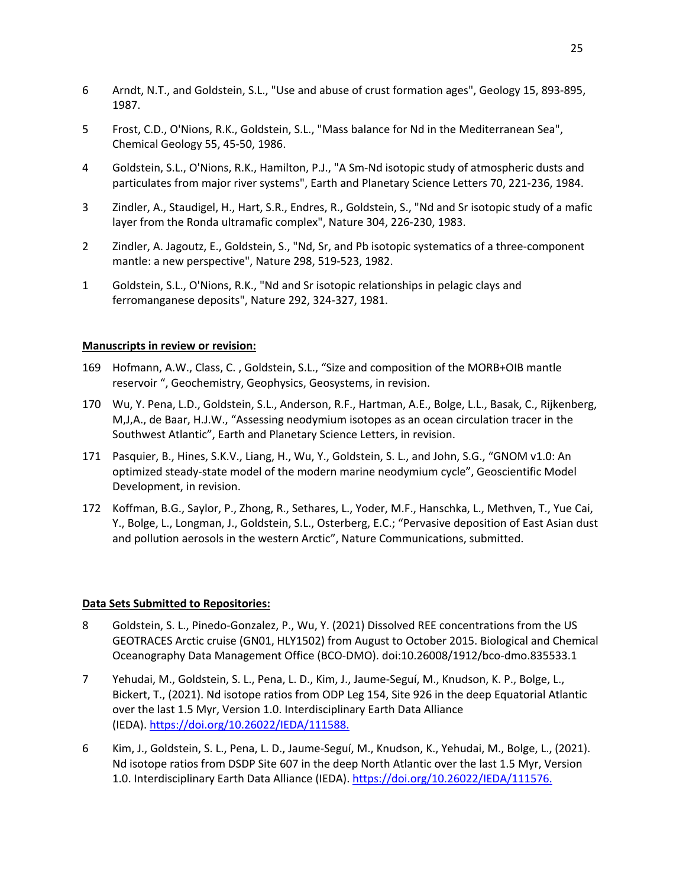- 6 Arndt, N.T., and Goldstein, S.L., "Use and abuse of crust formation ages", Geology 15, 893-895, 1987.
- 5 Frost, C.D., O'Nions, R.K., Goldstein, S.L., "Mass balance for Nd in the Mediterranean Sea", Chemical Geology 55, 45-50, 1986.
- 4 Goldstein, S.L., O'Nions, R.K., Hamilton, P.J., "A Sm-Nd isotopic study of atmospheric dusts and particulates from major river systems", Earth and Planetary Science Letters 70, 221-236, 1984.
- 3 Zindler, A., Staudigel, H., Hart, S.R., Endres, R., Goldstein, S., "Nd and Sr isotopic study of a mafic layer from the Ronda ultramafic complex", Nature 304, 226-230, 1983.
- 2 Zindler, A. Jagoutz, E., Goldstein, S., "Nd, Sr, and Pb isotopic systematics of a three-component mantle: a new perspective", Nature 298, 519-523, 1982.
- 1 Goldstein, S.L., O'Nions, R.K., "Nd and Sr isotopic relationships in pelagic clays and ferromanganese deposits", Nature 292, 324-327, 1981.

## **Manuscripts in review or revision:**

- 169 Hofmann, A.W., Class, C. , Goldstein, S.L., "Size and composition of the MORB+OIB mantle reservoir ", Geochemistry, Geophysics, Geosystems, in revision.
- 170 Wu, Y. Pena, L.D., Goldstein, S.L., Anderson, R.F., Hartman, A.E., Bolge, L.L., Basak, C., Rijkenberg, M,J,A., de Baar, H.J.W., "Assessing neodymium isotopes as an ocean circulation tracer in the Southwest Atlantic", Earth and Planetary Science Letters, in revision.
- 171 Pasquier, B., Hines, S.K.V., Liang, H., Wu, Y., Goldstein, S. L., and John, S.G., "GNOM v1.0: An optimized steady-state model of the modern marine neodymium cycle", Geoscientific Model Development, in revision.
- 172 Koffman, B.G., Saylor, P., Zhong, R., Sethares, L., Yoder, M.F., Hanschka, L., Methven, T., Yue Cai, Y., Bolge, L., Longman, J., Goldstein, S.L., Osterberg, E.C.; "Pervasive deposition of East Asian dust and pollution aerosols in the western Arctic", Nature Communications, submitted.

## **Data Sets Submitted to Repositories:**

- 8 Goldstein, S. L., Pinedo-Gonzalez, P., Wu, Y. (2021) Dissolved REE concentrations from the US GEOTRACES Arctic cruise (GN01, HLY1502) from August to October 2015. Biological and Chemical Oceanography Data Management Office (BCO-DMO). doi:10.26008/1912/bco-dmo.835533.1
- 7 Yehudai, M., Goldstein, S. L., Pena, L. D., Kim, J., Jaume-Seguí, M., Knudson, K. P., Bolge, L., Bickert, T., (2021). Nd isotope ratios from ODP Leg 154, Site 926 in the deep Equatorial Atlantic over the last 1.5 Myr, Version 1.0. Interdisciplinary Earth Data Alliance (IEDA). https://doi.org/10.26022/IEDA/111588.
- 6 Kim, J., Goldstein, S. L., Pena, L. D., Jaume-Seguí, M., Knudson, K., Yehudai, M., Bolge, L., (2021). Nd isotope ratios from DSDP Site 607 in the deep North Atlantic over the last 1.5 Myr, Version 1.0. Interdisciplinary Earth Data Alliance (IEDA). https://doi.org/10.26022/IEDA/111576.